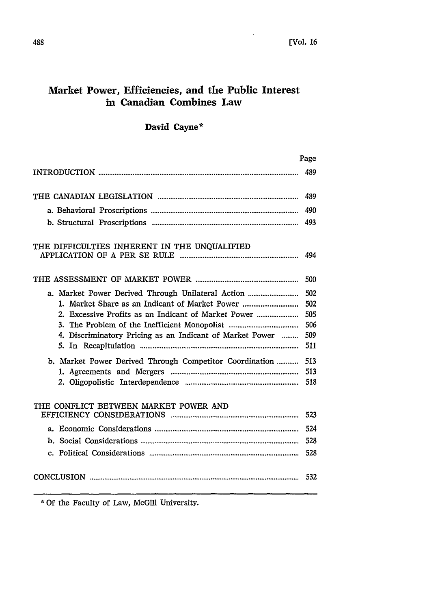# **Market Power, Efficiencies, and the Public Interest in Canadian Combines Law**

# **David Cayne\***

|                                                          | Page |
|----------------------------------------------------------|------|
|                                                          | 489  |
|                                                          | 489  |
|                                                          | 490  |
|                                                          | 493  |
| THE DIFFICULTIES INHERENT IN THE UNQUALIFIED             | 494  |
|                                                          | 500  |
| a. Market Power Derived Through Unilateral Action        | 502  |
| 1. Market Share as an Indicant of Market Power           | 502  |
| 2. Excessive Profits as an Indicant of Market Power      | 505  |
|                                                          | 506  |
| 4. Discriminatory Pricing as an Indicant of Market Power | 509  |
|                                                          | 511  |
| b. Market Power Derived Through Competitor Coordination  | 513  |
|                                                          | 513  |
|                                                          | 518  |
| THE CONFLICT BETWEEN MARKET POWER AND                    |      |
|                                                          | 523  |
|                                                          | 524  |
|                                                          | 528  |
|                                                          | 528  |
|                                                          | 532  |

\* Of the Faculty of Law, McGill University.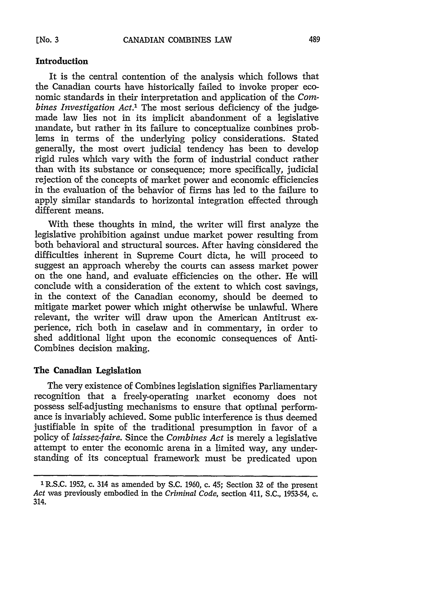### **Introduction**

It is the central contention of the analysis which follows that the Canadian courts have historically failed to invoke proper economic standards in their interpretation and application of the *Combines Investigation Act.'* The most serious deficiency of the judgemade law lies not in its implicit abandonment of a legislative mandate, but rather in its failure to conceptualize combines problems in terms of the underlying policy considerations. Stated generally, the most overt judicial tendency has been to develop rigid rules which vary with the form of industrial conduct rather than with its substance or consequence; more specifically, judicial rejection of the concepts of market power and economic efficiencies in the evaluation of the behavior of firms has led to the failure to apply similar standards to horizontal integration effected through different means.

With these thoughts in mind, the writer will first analyze the legislative prohibition against undue market power resulting from both behavioral and structural sources. After having considered the difficulties inherent in Supreme Court dicta, he will proceed to suggest an approach whereby the courts can assess market power on the one hand, and evaluate efficiencies on the other. He will conclude with a consideration of the extent to which cost savings, in the context of the Canadian economy, should be deemed to mitigate market power which might otherwise be unlawful. Where relevant, the writer will draw upon the American Antitrust experience, rich both in caselaw and in commentary, in order to shed additional light upon the economic consequences of Anti-Combines decision making.

# **The Canadian Legislation**

The very existence of Combines legislation signifies Parliamentary recognition that a freely-operating market economy does not possess self-adjusting mechanisms to ensure that optimal performance is invariably achieved. Some public interference is thus deemed justifiable in spite of the traditional presumption in favor of a policy of *laissez-faire.* Since the *Combines Act* is merely a legislative attempt to enter the economic arena in a limited way, any understanding of its conceptual framework must be predicated upon

<sup>1</sup> R.S.C. 1952, c. 314 as amended by S.C. 1960, c. 45; Section 32 of the present *Act* was previously embodied in the *Criminal Code,* section 411, S.C., 1953-54, c. 314.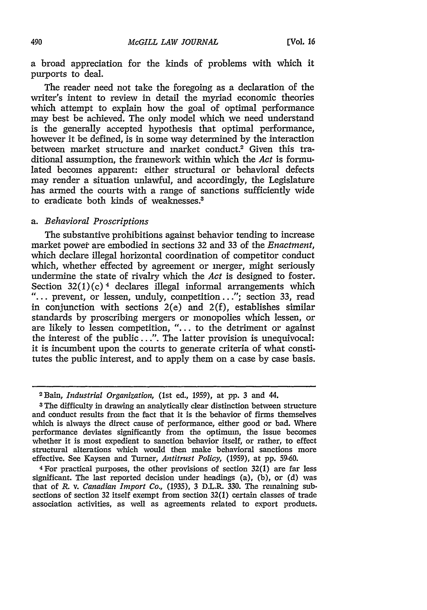a broad appreciation for the kinds of problems with which it purports to deal.

The reader need not take the foregoing as a declaration of the writer's intent to review in detail the myriad economic theories which attempt to explain how the goal of optimal performance may best be achieved. The only model which we need understand is the generally accepted hypothesis that optimal performance, however it be defined, is in some way determined by the interaction between market structure and market conduct.<sup>2</sup> Given this traditional assumption, the framework within which the *Act* is formulated becomes apparent: either structural or behavioral defects may render a situation unlawful, and accordingly, the Legislature has armed the courts with a range of sanctions sufficiently wide to eradicate both kinds of weaknesses

### *a. Behavioral Proscriptions*

The substantive prohibitions against behavior tending to increase market powet are embodied in sections 32 and 33 of the *Enactment,* which declare illegal horizontal coordination of competitor conduct which, whether effected by agreement or merger, might seriously undermine the state of rivalry which the *Act* is designed to foster. Section  $32(1)(c)$ <sup>4</sup> declares illegal informal arrangements which "... prevent, or lessen, unduly, competition..."; section 33, read in conjunction with sections  $2(e)$  and  $2(f)$ , establishes similar standards by proscribing mergers or monopolies which lessen, or are likely to lessen competition, *"....* to the detriment or against the interest of the public...". The latter provision is unequivocal: it is incumbent upon the courts to generate criteria of what constitutes the public interest, and to apply them on a case by case basis.

<sup>2</sup> Bain, *Industrial Organization,* (lst ed., 1959), at **pp.** 3 and 44.

<sup>3</sup>The difficulty in drawing an analytically clear distinction between structure and conduct results from the fact that it is the behavior of firms themselves which is always the direct cause of performance, either good or bad. Where performance deviates significantly from the optimum, the issue becomes whether it is most expedient to sanction behavior itself, or rather, to effect structural alterations which would then make behavioral sanctions more effective. See Kaysen and Turner, *Antitrust Policy,* (1959), at pp. 59-60.

<sup>4</sup> For practical purposes, the other provisions of section 32(1) are far less significant. The last reported decision under headings (a), (b), or (d) was that of *R.* v. *Canadian Import Co.,* (1935), 3 D.L.R. 330. The remaining subsections of section 32 itself exempt from section 32(1) certain classes of trade association activities, as well as agreements related to export products.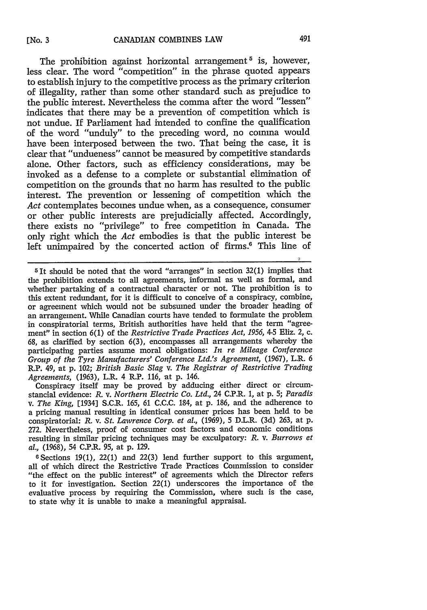The prohibition against horizontal arrangement<sup>5</sup> is, however, less clear. The word "competition" in the phrase quoted appears to establish injury to the competitive process as the primary criterion of illegality, rather than some other standard such as prejudice to the public interest. Nevertheless the comma after the word "lessen" indicates that there may be a prevention of competition which is not undue. If Parliament had intended to confine the qualification of the word "unduly" to the preceding word, no comma would have been interposed between the two. That being the case, it is clear that "undueness" cannot be measured by competitive standards alone. Other factors, such as efficiency considerations, may be invoked as a defense to a complete or substantial elimination of competition on the grounds that no harm has resulted to the public interest. The prevention or lessening of competition which the *Act* contemplates becomes undue when, as a consequence, consumer or other public interests are prejudicially affected. Accordingly, there exists no "privilege" to free competition in Canada. The only right which the *Act* embodies is that the public interest be left unimpaired by the concerted action of firms.<sup>6</sup> This line of

Conspiracy itself may be proved by adducing either direct or circumstancial evidence: *R.* v. *Northern Electric Co. Ltd.,* 24 C.P.R. 1, at p. 5; *Paradis v. The King,* [1934] S.C.R. 165, 61 C.C.C. 184, at p. 186, and the adherence to a pricing manual resulting in identical consumer prices has been held to be conspiratorial: *R.* v. *St. Lawrence Corp. et al.,* (1969), 5 D.L.R. (3d) 263, at p. 272. Nevertheless, proof of consumer cost factors and economic conditions resulting in similar pricing techniques may be exculpatory: *R.* v. *Burrows et al.,* (1968), 54 C.P.R. 95, at p. 129.

**0** Sections 19(1), 22(1) and 22(3) lend further support to this argument, all of which direct the Restrictive Trade Practices Commission to consider "the effect on the public interest" of agreements which the Director refers to it for investigation. Section 22(1) underscores the importance of the evaluative process by requiring the Commission, where such is the case, to state why it is unable to make a meaningful appraisal.

**<sup>5</sup>It** should be noted that the word "arranges" in section 32(1) implies that the prohibition extends to all agreements, informal as well as formal, and whether partaking of a contractual character or not. The prohibition is to this extent redundant, for it is difficult to conceive of a conspiracy, combine, or agreement which would not be subsumed under the broader heading of an arrangement. While Canadian courts have tended to formulate the problem in conspiratorial terms, British authorities have held that the term "agreement" in section 6(1) of the *Restrictive Trade Practices Act, 1956,* 4-5 Eliz. 2, c. 68, as clarified by section 6(3), encompasses all arrangements whereby the participating parties assume moral obligations: *In re Mileage Conference Group of the Tyre Manufacturers' Conference Ltd.'s Agreement,* (1967), L.R. 6 R.P. 49, at p. 102; *British Basic Slag v. The Registrar of Restrictive Trading Agreements,* (1963), L.R. 4 R.P. 116, at p. 146.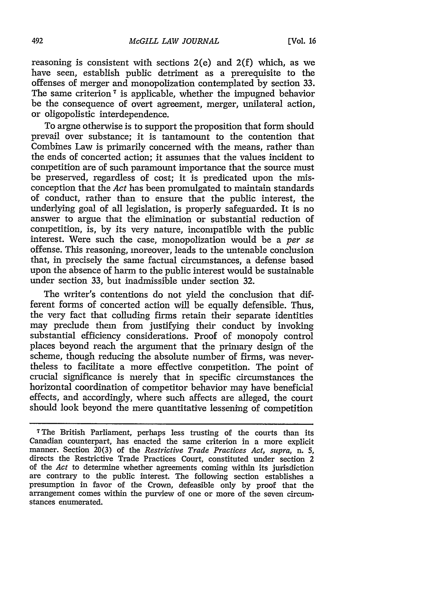reasoning is consistent with sections 2(e) and 2(f) which, as we have seen, establish public detriment as a prerequisite to the offenses of merger and monopolization contemplated by section 33. The same criterion<sup>7</sup> is applicable, whether the impugned behavior be the consequence of overt agreement, merger, unilateral action, or oligopolistic interdependence.

To argne otherwise is to support the proposition that form should prevail over substance; it is tantamount to the contention that Combines Law is primarily concerned with the means, rather than the ends of concerted action; it assumes that the values incident to competition are of such paramount importance that the source must be preserved, regardless of cost; it is predicated upon the misconception that the *Act* has been promulgated to maintain standards of conduct, rather than to ensure that the public interest, the underlying goal of all legislation, is properly safeguarded. It is no answer to argue that the elimination or substantial reduction of competition, is, by its very nature, incompatible with the public interest. Were such the case, monopolization would be a *per se* offense. This reasoning, moreover, leads to the untenable conclusion that, in precisely the same factual circumstances, a defense based upon the absence of harm to the public interest would be sustainable under section 33, but inadmissible under section 32.

The writer's contentions do not yield the conclusion that different forms of concerted action will be equally defensible. Thus, the very fact that colluding firms retain their separate identities may preclude them from justifying their conduct by invoking substantial efficiency considerations. Proof of monopoly control places beyond reach the argument that the primary design of the scheme, though reducing the absolute number of firms, was nevertheless to facilitate a more effective competition. The point of crucial significance is merely that in specific circumstances the horizontal coordination of competitor behavior may have beneficial effects, and accordingly, where such affects are alleged, the court should look beyond the mere quantitative lessening of competition

<sup>7</sup>The British Parliament, perhaps less trusting of the courts than its Canadian counterpart, has enacted the same criterion in a more explicit manner. Section 20(3) of the *Restrictive Trade Practices Act, supra, n.* 5, directs the Restrictive Trade Practices Court, constituted under section 2 of the *Act* to determine whether agreements coming within its jurisdiction are contrary to the public interest. The following section establishes a presumption in favor of the Crown, defeasible only by proof that the arrangement comes within the purview of one or more of the seven circumstances enumerated.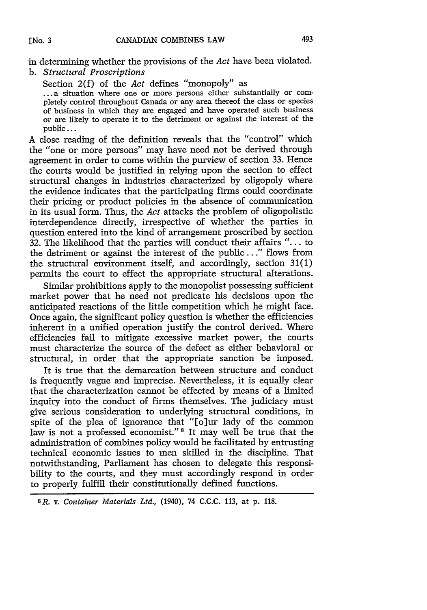in determining whether the provisions of the *Act* have been violated. b. *Structural Proscriptions*

Section 2(f) of the *Act* defines "monopoly" as ... a situation where one or more persons either substantially or completely control throughout Canada or any area thereof the class or species of business in which they are engaged and have operated such business or are likely to operate it to the detriment or against the interest of the public...

A close reading of the definition reveals that the "control" which the "one or more persons" may have need not be derived through agreement in order to come within the purview of section 33. Hence the courts would be justified in relying upon the section to effect structural changes in industries characterized by oligopoly where the evidence indicates that the participating firms could coordinate their pricing or product policies in the absence of communication in its usual form. Thus, the *Act* attacks the problem of oligopolistic interdependence directly, irrespective of whether the parties in question entered into the kind of arrangement proscribed by section  $32$ . The likelihood that the parties will conduct their affairs "... to the detriment or against the interest of the public..." flows from the structural environment itself, and accordingly, section 31(1) permits the court to effect the appropriate structural alterations.

Similar prohibitions apply to the monopolist possessing sufficient market power that he need not predicate his decisions upon the anticipated reactions of the little competition which he might face. Once again, the significant policy question is whether the efficiencies inherent in a unified operation justify the control derived. Where efficiencies fail to mitigate excessive market power, the courts must characterize the source of the defect as either behavioral or structural, in order that the appropriate sanction be imposed.

It is true that the demarcation between structure and conduct is frequently vague and imprecise. Nevertheless, it is equally clear that the characterization cannot be effected by means of a limited inquiry into the conduct of firms themselves. The judiciary must give serious consideration to underlying structural conditions, in spite of the plea of ignorance that "[o]ur lady of the common law is not a professed economist."<sup>8</sup> It may well be true that the administration of combines policy would be facilitated by entrusting technical economic issues to men skilled in the discipline. That notwithstanding, Parliament has chosen to delegate this responsibility to the courts, and they must accordingly respond in order to properly fulfill their constitutionally defined functions.

8R. v. *Container Materials Ltd.,* (1940), 74 C.C.C. 113, at p. 118.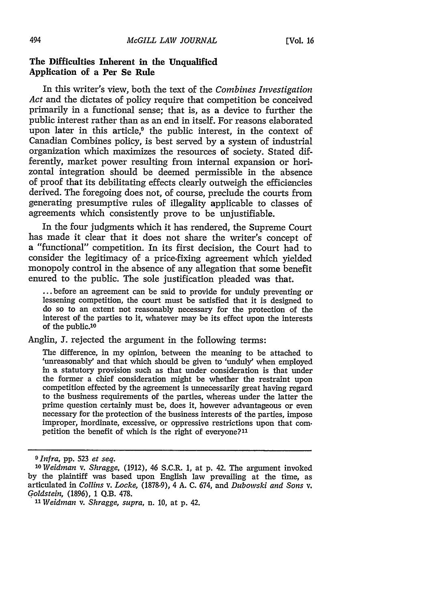# **The Difficulties Inherent in the Unqualified Application of a Per Se Rule**

In this writer's view, both the text of the *Combines Investigation Act* and the dictates of policy require that competition be conceived primarily in a functional sense; that is, as a device to further the public interest rather than as an end in itself. For reasons elaborated upon later in this article,<sup>9</sup> the public interest, in the context of Canadian Combines policy, is best served **by** a system of industrial organization which maximizes the resources of society. Stated differently, market power resulting from internal expansion or horizontal integration should be deemed permissible in the absence of proof that its debilitating effects clearly outweigh the efficiencies derived. The foregoing does not, of course, preclude the courts from generating presumptive rules of illegality applicable to classes of agreements which consistently prove to be unjustifiable.

In the four judgments which it has rendered, the Supreme Court has made it clear that it does not share the writer's concept of a "functional" competition. In its first decision, the Court had to consider the legitimacy of a price-fixing agreement which yielded monopoly control in the absence of any allegation that some benefit enured to the public. The sole justification pleaded was that.

**...** before an agreement can be said to provide for unduly preventing or lessening competition, the court must be satisfied that it is designed to do so to an extent not reasonably necessary for the protection of the interest of the parties to it, whatever may **be** its effect upon the interests of the public.<sup>10</sup>

Anglin, **J.** rejected the argument in the following terms:

The difference, in my opinion, between the meaning to be attached to 'unreasonably' and that which should be given to 'unduly' when employed in a statutory provision such as that under consideration is that under the former a chief consideration might be whether the restraint upon competition effected **by** the agreement is unnecessarily great having regard to the business requirements of the parties, whereas under the latter the prime question certainly must be, does it, however advantageous or even necessary for the protection of the business interests of the parties, impose improper, inordinate, excessive, or oppressive restrictions upon that competition the benefit of which is the right of everyone?<sup>11</sup>

*<sup>9</sup>Infra,* **pp. 523** *et seq. 'o Weidman v. Shragge,* **(1912),** 46 S.C.R. **1,** at **p.** 42. The argument invoked **by** the plaintiff was based upon English law prevailing at the time, as articulated in *Collins v. Locke,* **(1878-9),** 4 **A. C.** 674, and *Dubowski and Sons v. Goldstein,* **(1896), 1 Q.B. 478.**

*<sup>&</sup>quot;3 Weidman v. Shragge, supra,* n. **10,** at **p.** 42.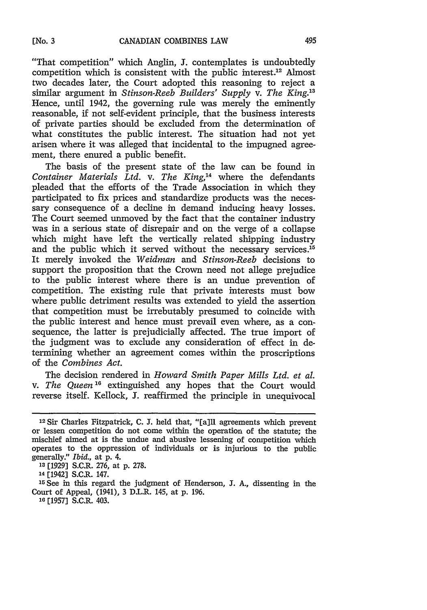"That competition" which Anglin, *I.* contemplates is undoubtedly competition which is consistent with the public interest.12 Almost two decades later, the Court adopted this reasoning to reject a similar argument in *Stinson-Reeb Builders' Supply v. The King."* Hence, until 1942, the governing rule was merely the eminently reasonable, if not self-evident principle, that the business interests of private parties should be excluded from the determination of what constitutes the public interest. The situation had not yet arisen where it was alleged that incidental to the impugned agreement, there enured a public benefit.

The basis of the present state of the law can be found in *Container Materials Ltd. v. The King,'4* where the defendants pleaded that the efforts of the Trade Association in which they participated to fix prices and standardize products was the necessary consequence of a decline in demand inducing heavy losses. The Court seemed unmoved by the fact that the container industry was in a serious state of disrepair and on the verge of a collapse which might have left the vertically related shipping industry and the public which it served without the necessary services.<sup>15</sup> It merely invoked the *Weidman and Stinson-Reeb* decisions to support the proposition that the Crown need not allege prejudice to the public interest where there is an undue prevention of competition. The existing rule that private interests must bow where public detriment results was extended to yield the assertion that competition must be irrebutably presumed to coincide with the public interest and hence must prevail even where, as a consequence, the latter is prejudicially affected. The true import of the judgment was to exclude any consideration of effect in determining whether an agreement comes within the proscriptions of the *Combines Act.*

The decision rendered in *Howard Smith Paper Mills Ltd. et al. v. The Queen'0* extinguished any hopes that the Court would reverse itself. Kellock, **J.** reaffirmed the principle in unequivocal

<sup>&</sup>lt;sup>12</sup> Sir Charles Fitzpatrick, C. J. held that, "[a]ll agreements which prevent or lessen competition do not come within the operation of the statute; the mischief aimed at is the undue and abusive lessening of competition which operates to the oppression of individuals or is injurious to the public generally." *Ibid.,* at p. 4.

**<sup>13</sup>**[1929] S.C.R. 276, at p. 278.

<sup>&#</sup>x27;4 [1942] S.C.R. 147.

**<sup>15</sup>**See in this regard the judgment of Henderson, **J.** A., dissenting in the Court of Appeal, (1941), 3 D.L.R. 145, at p. 196.

**<sup>16</sup>** [1957] S.C.R. 403.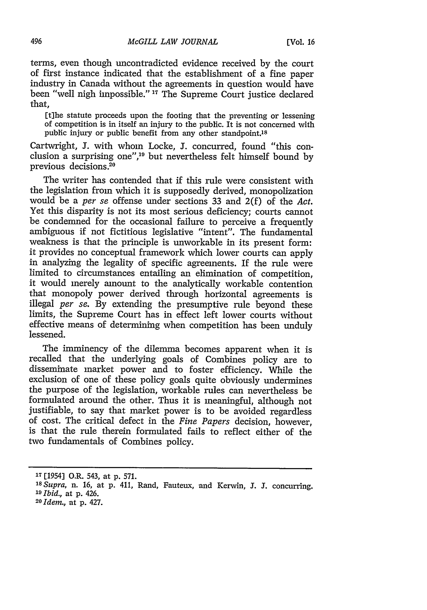terms, even though uncontradicted evidence received by the court of first instance indicated that the establishment of a fine paper industry in Canada without the agreements in question would have been "well nigh impossible." **17** The Supreme Court justice declared that,

[t]he statute proceeds upon the footing that the preventing or lessening of competition is in itself an injury to the public. It is not concerned with public injury or public benefit from any other standpoint.<sup>18</sup>

Cartwright, **J.** with whom Locke, J. concurred, found "this conclusion a surprising one", $10$  but nevertheless felt himself bound by previous decisions. $20$ 

The writer has contended that if this rule were consistent with the legislation from which it is supposedly derived, monopolization would be a *per se* offense under sections 33 and 2(f) of the *Act.* Yet this disparity is not its most serious deficiency; courts cannot be condemned for the occasional failure to perceive a frequently ambiguous if not fictitious legislative "intent". The fundamental weakness is that the principle is unworkable in its present form: it provides no conceptual framework which lower courts can apply in analyzing the legality of specific agreements. If the rule were limited to circumstances entailing an elimination of competition, it would merely amount to the analytically workable contention that monopoly power derived through horizontal agreements is illegal *per se.* By extending the presumptive rule beyond these limits, the Supreme Court has in effect left lower courts without effective means of determining when competition has been unduly lessened.

The imminency of the dilemma becomes apparent when it is recalled that the underlying goals of Combines policy are to disseminate market power and to foster efficiency. While the exclusion of one of these policy goals quite obviously undermines the purpose of the legislation, workable rules can nevertheless be formulated around the other. Thus it is meaningful, although not justifiable, to say that market power is to be avoided regardless of cost. The critical defect in the *Fine Papers* decision, however, is that the rule therein formulated fails to reflect either of the two fundamentals of Combines policy.

496

**<sup>17</sup>**[1954] O.R. 543, at p. 571.

*<sup>38</sup>Supra,* n. 16, at p. 411, Rand, Fauteux, and Kerwin, 3. **J.** concurring.

*<sup>19</sup>Ibid.,* at p. 426. *<sup>2</sup> <sup>0</sup> Idem.,* at p. 427.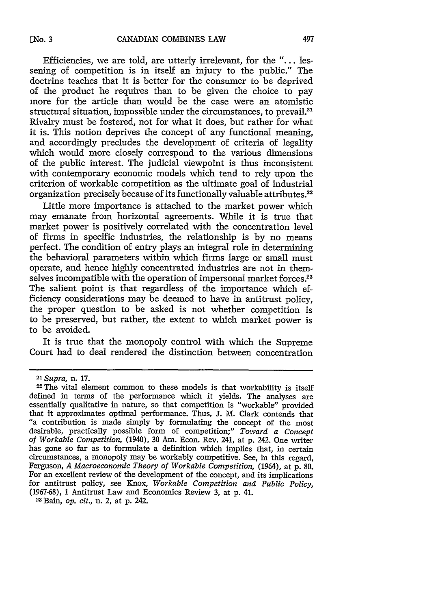Efficiencies, we are told, are utterly irrelevant, for the **"....** lessening of competition is in itself an injury to the public." The doctrine teaches that it is better for the consumer to be deprived of the product he requires than to be given the choice to pay more for the article than would be the case were an atomistic structural situation, impossible under the circumstances, to prevail.<sup>21</sup> Rivalry must be fostered, not for what it does, but rather for what it is. This notion deprives the concept of any functional meaning, and accordingly precludes the development of criteria of legality which would more closely correspond to the various dimensions of the public interest. The judicial viewpoint is thus inconsistent with contemporary economic models which tend to rely upon the criterion of workable competition as the ultimate goal of industrial organization precisely because of its functionally valuable attributes.<sup>22</sup>

Little more importance is attached to the market power which may emanate from horizontal agreements. While it is true that market power is positively correlated with the concentration level of firms in specific industries, the relationship is by no means perfect. The condition of entry plays an integral role in determining the behavioral parameters within which firms large or small must operate, and hence highly concentrated industries are not in themselves incompatible with the operation of impersonal market forces.<sup>23</sup> The salient point is that regardless of the importance which efficiency considerations may be deemed to have in antitrust policy, the proper question to be asked is not whether competition is to be preserved, but rather, the extent to which market power is to be avoided.

It is true that the monopoly control with which the Supreme Court had to deal rendered the distinction between concentration

*<sup>2</sup>l Supra,* n. 17.

<sup>22</sup> The vital element common to these models is that workability is itself defined in terms of the performance which it yields. The analyses are essentially qualitative in nature, so that competition is "workable" provided that it approximates optimal performance. Thus, J. M. Clark contends that "a contribution is made simply by formulating the concept of the most desirable, practically possible form of competition;" *Toward a Concept of Workable Competition,* (1940), 30 Am. Econ. Rev. 241, at p. 242. One writer has gone so far as to formulate a definition which implies that, in certain circumstances, a monopoly may be workably competitive. See, in this regard, Ferguson, *A Macroeconomic Theory of Workable Competition,* (1964), at p. 80. For an excellent review of the development of the concept, and its implications for antitrust policy, see Knox, *Workable Competition and Public Policy,* (1967-68), **1** Antitrust Law and Economics Review 3, at p. 41. **<sup>2</sup> <sup>3</sup>** Bain, *op. cit.,* n. 2, at p. 242.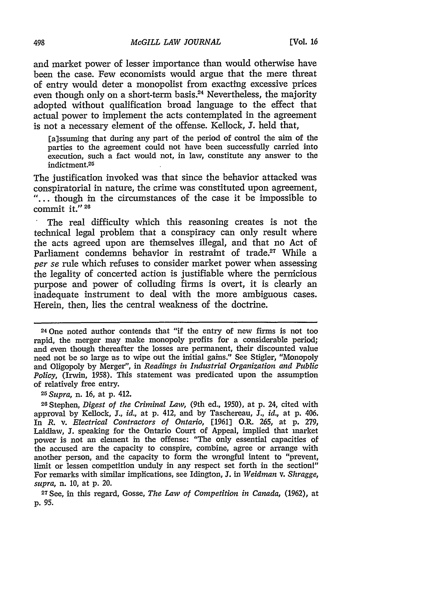and market power of lesser importance than would otherwise have been the case. Few economists would argue that the mere threat of entry would deter a monopolist from exacting excessive prices even though only on a short-term basis.<sup>24</sup> Nevertheless, the majority adopted without qualification broad language to the effect that actual power to implement the acts contemplated in the agreement is not a necessary element of the offense. Kellock, J. held that,

[a]ssuming that during any part of the period of control the aim of the parties to the agreement could not have been successfully carried into execution, such a fact would not, in law, constitute any answer to the indictment.25

The justification invoked was that since the behavior attacked was conspiratorial in nature, the crime was constituted upon agreement, "... though in the circumstances of the case it be impossible to commit it." **26**

The real difficulty which this reasoning creates is not the technical legal problem that a conspiracy can only result where the acts agreed upon are themselves illegal, and that no Act of Parliament condemns behavior in restraint of trade.<sup>27</sup> While a *per se* rule which refuses to consider market power when assessing the legality of concerted action is justifiable where the pernicious purpose and power of colluding firms is overt, it is clearly an inadequate instrument to deal with the more ambiguous cases. Herein, then, lies the central weakness of the doctrine.

24One noted author contends that "if the entry of new firms is not too rapid, the merger may make monopoly profits for a considerable period; and even though thereafter the losses are permanent, their discounted value need not be so large as to wipe out the initial gains." See Stigler, "Monopoly and Oligopoly by Merger", in *Readings in Industrial Organization and Public Policy,* (Irwin, 1958). This statement was predicated upon the assumption of relatively free entry. *<sup>25</sup> Supra,* n. 16, at **p.** 412.

26 Stephen, *Digest of the Criminal Law,* (9th ed., 1950), at p. 24, cited with approval by Kellock, J., *id.,* at **p.** 412, and by Taschereau, J., *id.,* at **p.** 406. In *R.* v. *Electrical Contractors of Ontario,* [1961] O.R. 265, at p. 279, Laidlaw, **J.** speaking for the Ontario Court of Appeal, implied that market power is not an element in the offense: "The only essential capacities of the accused are the capacity to conspire, combine, agree or arrange with another person, and the capacity to form the wrongful intent to "prevent, limit or lessen competition unduly in any respect set forth in the sectionl" For remarks with similar implications, see Idington, **J.** in *Weidman v. Shragge, supra,* n. 10, at **p.** 20.

27See, in this regard, Gosse, *The Law of Competition in Canada,* (1962), at p. 95.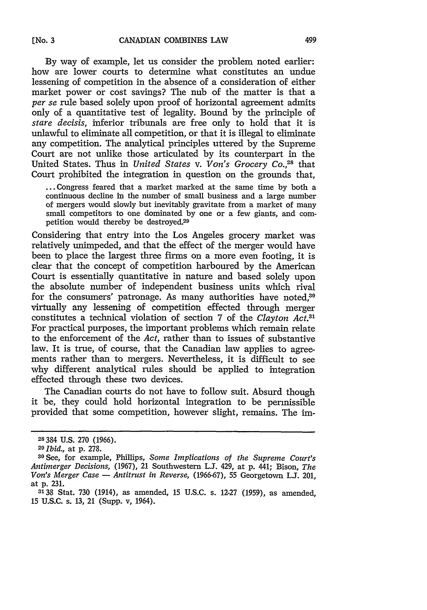By way of example, let us consider the problem noted earlier: how are lower courts to determine what constitutes an undue lessening of competition in the absence of a consideration of either market power or cost savings? The nub of the matter is that a *per se* rule based solely upon proof of horizontal agreement admits only of a quantitative test of legality. Bound by the principle of *stare decisis,* inferior tribunals are free only to hold that it is unlawful to eliminate all competition, or that it is illegal to eliminate any competition. The analytical principles uttered by the Supreme Court are not unlike those articulated by its counterpart in the United States. Thus in *United States v. Von's Grocery Co.,28* that Court prohibited the integration in question on the grounds that,

**..** Congress feared that a market marked at the same time by both a continuous decline in the number of small business and a large number of mergers would slowly but inevitably gravitate from a market of many small competitors to one dominated by one or a few giants, and competition would thereby be destroyed.<sup>29</sup>

Considering that entry into the Los Angeles grocery market was relatively unimpeded, and that the effect of the merger would have been to place the largest three firms on a more even footing, it is clear that the concept of competition harboured by the American Court is essentially quantitative in nature and based solely upon the absolute number of independent business units which rival for the consumers' patronage. As many authorities have noted,<sup>30</sup> virtually any lessening of competition effected through merger constitutes a technical violation of section 7 of the *Clayton Act.31* For practical purposes, the important problems which remain relate to the enforcement of the *Act,* rather than to issues of substantive law. It is true, of course, that the Canadian law applies to agreements rather than to mergers. Nevertheless, it is difficult to see why different analytical rules should be applied to integration effected through these two devices.

The Canadian courts do not have to follow suit. Absurd though it be, they could hold horizontal integration to be permissible provided that some competition, however slight, remains. The im-

**<sup>28334</sup>** U.S. 270 (1966).

*<sup>20</sup>Ibid.,* at p. 278.

<sup>30</sup>See, for example, Phillips, *Some Implications of the Supreme Court's Antimerger Decisions,* (1967), 21 Southwestern **LJ.** 429, at p. 441; Bison, *The Von's Merger Case* - *Antitrust in Reverse*, (1966-67), 55 Georgetown L.J. 201, at **p.** 231.

**<sup>3138</sup>** Stat. 730 (1914), as amended, **15** U.S.C. s. 12-27 (1959), as amended, 15 U.S.C. s. **13,** 21 (Supp. v, 1964).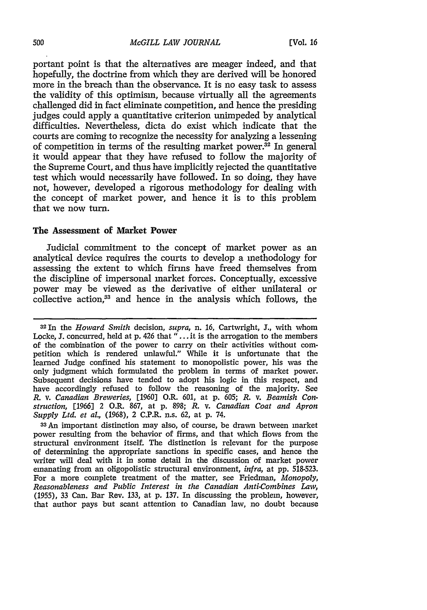portant point is that the alternatives are meager indeed, and that hopefully, the doctrine from which they are derived will be honored more in the breach than the observance. It is no easy task to assess the validity of this optimism, because virtually all the agreements challenged did in fact eliminate competition, and hence the presiding judges could apply a quantitative criterion unimpeded by analytical difficulties. Nevertheless, dicta do exist which indicate that the courts are coming to recognize the necessity for analyzing a lessening of competition in terms of the resulting market power. $32$  In general it would appear that they have refused to follow the majority of the Supreme Court, and thus have implicitly rejected the quantitative test which would necessarily have followed. In so doing, they have not, however, developed a rigorous methodology for dealing with the concept of market power, and hence it is to this problem that we now turn.

#### **The Assessment of Market Power**

Judicial commitment to the concept of market power as an analytical device requires the courts to develop a methodology for assessing the extent to which firms have freed themselves from the discipline of impersonal market forces. Conceptually, excessive power may be viewed as the derivative of either unilateral or collective action.<sup>33</sup> and hence in the analysis which follows, the

<sup>33</sup> An important distinction may also, of course, be drawn between market power resulting from the behavior of firms, and that which flows from the structural environment itself. The distinction is relevant for the purpose of determining the appropriate sanctions in specific cases, and hence the writer will deal with it in some detail in the discussion of market power emanating from an oligopolistic structural environment, *infra,* at pp. 518-523. For a more complete treatment of the matter, see Friedman, *Monopoly, Reasonableness and Public Interest in the Canadian Anti-Combines Law,* (1955), 33 Can. Bar Rev. 133, at p. 137. In discussing the problem, however, that author pays but scant attention to Canadian law, no doubt because

**<sup>32</sup>**In the *Howard Smith* decision, *supra,* n. 16, Cartwright, **J.,** with whom Locke, J. concurred, held at p. 426 that **"..** . it is the arrogation to the members of the combination of the power to carry on their activities without competition which is rendered unlawful." While it is unfortunate that the learned Judge confined his statement to monopolistic power, his was the only judgment which formulated the problem in terms of market power. Subsequent decisions have tended to adopt his logic in this respect, and have accordingly refused to follow the reasoning of the majority. See *R. v. Canadian Breweries,* [1960] O.R. 601, at p. 605; *R.* v. *Beamish Construction,* [1966] 2 O.R. 867, at p. 898; *R.* v. *Canadian Coat and Apron Supply Ltd. et al.,* **(1968),** 2 C.P.R. n.s. 62, at **p.** 74.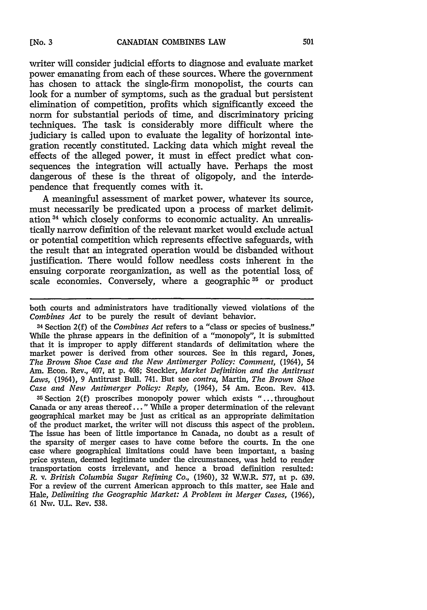writer will consider judicial efforts to diagnose and evaluate market power emanating from each of these sources. Where the government has chosen to attack the single-firm monopolist, the courts can look for a number of symptoms, such as the gradual but persistent elimination of competition, profits which significantly exceed the norm for substantial periods of time, and discriminatory pricing techniques. The task is considerably more difficult where the judiciary is called upon to evaluate the legality of horizontal integration recently constituted. Lacking data which might reveal the effects of the alleged power, it must in effect predict what consequences the integration will actually have. Perhaps the most dangerous of these is the threat of oligopoly, and the interdependence that frequently comes with it.

A meaningful assessment of market power, whatever its source, must necessarily be predicated upon a process of market delimitation 34 which closely conforms to economic actuality. An unrealistically narrow definition of the relevant market would exclude actual or potential competition which represents effective safeguards, with the result that an integrated operation would be disbanded without justification. There would follow needless costs inherent in the ensuing corporate reorganization, as well as the potential loss, of scale economies. Conversely, where a geographic  $35$  or product

both courts and administrators have traditionally viewed violations of the *Combines Act* to be purely the result of deviant behavior.

34 Section 2(f) of the *Combines Act* refers to a "class or species of business." While the phrase appears in the definition of a "monopoly", it is submitted that it is improper to apply different standards of delimitation where the market power is derived from other sources. See in this regard, Jones, *The Brown Shoe Case and the New Antimerger Policy: Comment,* (1964), 54 Am. Econ. Rev., 407, at p. 408; Steckler, *Market Definition and the Antitrust Laws,* (1964), 9 Antitrust Bull. 741. But see *contra,* Martin, *The Brown Shoe Case and New Antimerger Policy: Reply,* (1964), 54 Am. Econ. Rev. 413.

<sup>35</sup> Section **2(f)** proscribes monopoly power which exists "...throughout Canada or any areas thereof..." 'While a proper determination of the relevant geographical market may be just as critical as an appropriate delimitation of the product market, the writer will not discuss this aspect of the problem. The issue has been of little importance in Canada, no doubt as a result of the sparsity of merger cases to have come before the courts. In the one case where geographical limitations could have been important, a basing price system, deemed legitimate under the circumstances, was held to render transportation costs irrelevant, and hence a broad definition resulted: *R. v. British Columbia Sugar Refining Co.,* (1960), 32 W.W.R. 577, at p. 639. For a review of the current American approach to this matter, see Hale and Hale, *Delimiting the Geographic Market: A Problem in Merger Cases,* (1966), 61 Nw. U.L. Rev. 538.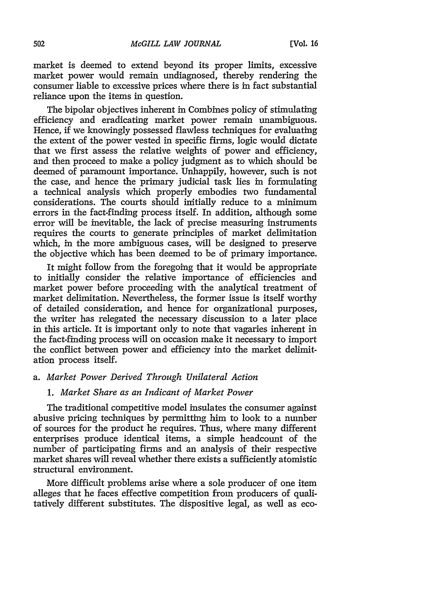market is deemed to extend beyond its proper limits, excessive market power would remain undiagnosed, thereby rendering the consumer liable to excessive prices where there is in fact substantial reliance upon the items in question.

The bipolar objectives inherent in Combines policy of stimulating efficiency and eradicating market power remain unambiguous. Hence, if we knowingly possessed flawless techniques for evaluating the extent of the power vested in specific firms, logic would dictate that we first assess the relative weights of power and efficiency, and then proceed to make a policy judgment as to which should be deemed of paramount importance. Unhappily, however, such is not the case, and hence the primary judicial task lies in formulating a technical analysis which properly embodies two fundamental considerations. The courts should initially reduce to a minimum errors in the fact-finding process itself. In addition, although some error will be inevitable, the lack of precise measuring instruments requires the courts to generate principles of market delimitation which, in the more ambiguous cases, will be designed to preserve the objective which has been deemed to be of primary importance.

It might follow from the foregoing that it would be appropriate to initially consider the relative importance of efficiencies and market power before proceeding with the analytical treatment of market delimitation. Nevertheless, the former issue is itself worthy of detailed consideration, and hence for organizational purposes, the writer has relegated the necessary discussion to a later place in this article. It is important only to note that vagaries inherent in the fact-finding process will on occasion make it necessary to import the conflict between power and efficiency into the market delimitation process itself.

### *a. Market Power Derived Through Unilateral Action*

### *1. Market Share as an Indicant of Market Power*

The traditional competitive model insulates the consumer against abusive pricing techniques by permitting him to look to a number of sources for the product he requires. Thus, where many different enterprises produce identical items, a simple headcount of the number of participating firms and an analysis of their respective market shares will reveal whether there exists a sufficiently atomistic structural environment.

More difficult problems arise where a sole producer of one item alleges that he faces effective competition from producers of qualitatively different substitutes. The dispositive legal, as well as eco-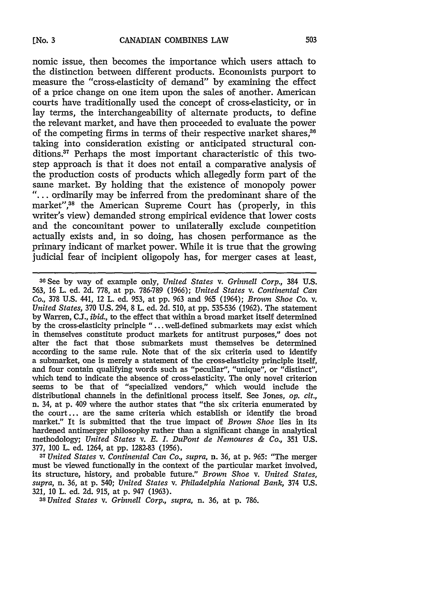nomic issue, then becomes the importance which users attach to the distinction between different products. Economists purport to measure the "cross-elasticity of demand" **by** examining the effect of a price change on one item upon the sales of another. American courts have traditionally used the concept of cross-elasticity, or in lay terms, the interchangeability of alternate products, to define the relevant market, and have then proceeded to evaluate the power of the competing firms in terms of their respective market shares,<sup>36</sup> taking into consideration existing or anticipated structural conditions.<sup>37</sup> Perhaps the most important characteristic of this twostep approach is that it does not entail a comparative analysis of the production costs of products which allegedly form part of the same market. **By** holding that the existence of monopoly power *"...* ordinarily may be inferred from the predominant share of the market",38 the American Supreme Court has (properly, in this writer's view) demanded strong empirical evidence that lower costs and the concomitant power to unilaterally exclude competition actually exists and, in so doing, has chosen performance as the primary indicant of market power. **While** it is true that the growing judicial fear of incipient oligopoly has, for merger cases at least,

must be viewed functionally in the context of the particular market involved, its structure, history, and probable future." *Brown Shoe v. United States, supra,* n. **36,** at **p.** 540; *United States v. Philadelphia National Bank,* 374 **U.S. 321, 10** L. ed. **2d. 915,** at **p.** 947 **(1963).**

*<sup>38</sup>United States v. Grinnell Corp., supra,* n. **36,** at **p. 786.**

**<sup>3</sup>GSee by** way of example only, *United States v. Grinnell Corp.,* 384 **U.S. 563, 16** L. ed. **2d. 778,** at **pp. 786-789 (1966);** *United States v. Continental Can Co.,* **378 U.S.** 441, 12 L. ed. **953,** at **pp. 963** and **965** (1964); *Brown Shoe Co.* v. *United States,* **370 U.S.** 294, **8** L. ed. **2d. 510,** at **pp. 535-536 (1962).** The statement **by** Warren, **CJ.,** *ibid.,* to the effect that within a broad market itself determined **by** the cross-elasticity principle "... well-defined submarkets may exist which in themselves constitute product markets for antitrust purposes," does not alter the fact that those submarkets must themselves be determined according to the same rule. Note that of the six criteria used to identify a submarket, one is merely a statement of the cross-elasticity principle itself, and four contain qualifying words such as "peculiar", "unique", or "distinct", which tend to indicate the absence of cross-elasticity. The only novel criterion seems to be that of "specialized vendors," which would include the distributional channels in the definitional process itself. See Jones, *op. cit.,* n. **34,** at **p.** 409 where the author states that "the six criteria enumerated **by** the court... are the same criteria which establish or identify the broad market." It is submitted that the true impact of *Brown Shoe* **lies** in its hardened antimerger philosophy rather than a significant change in analytical methodology; *United States v. E. I. DuPont de Nemoures & Co.,* **351 U.S. 377, 100** L. ed. 1264, at **pp. 1282-83 (1956).** *<sup>37</sup> United States v. Continental Can Co., supra,* n. **36,** at **p. 965:** "The merger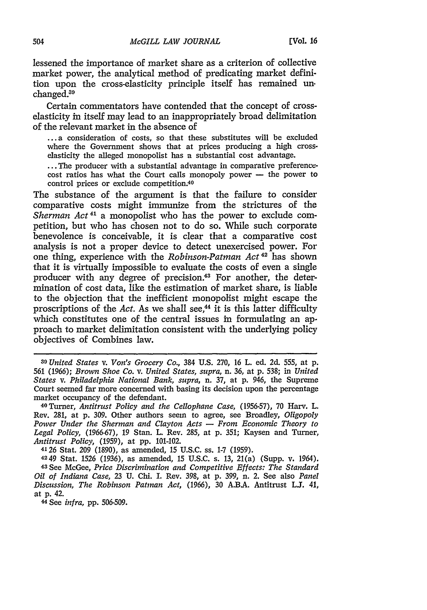lessened the importance of market share as a criterion of collective market power, the analytical method of predicating market definition upon the cross-elasticity principle itself has remained **un.**  $champed<sup>39</sup>$ 

Certain commentators have contended that the concept of crosselasticity in itself may lead to an inappropriately broad delimitation of the relevant market in the absence of

**... a** consideration of costs, so that these substitutes will be excluded where the Government shows that at prices producing a high crosselasticity the alleged monopolist has a substantial cost advantage.

**...** The producer with a substantial advantage in comparative preferencecost ratios has what the Court calls monopoly power **-** the power to control prices or exclude competition.<sup>40</sup>

The substance of the argument is that the failure to consider comparative costs might immunize from the strictures of the *Sherman Act*<sup>41</sup> a monopolist who has the power to exclude competition, but who has chosen not to do so. While such corporate benevolence is conceivable, it is clear that a comparative cost analysis is not a proper device to detect unexercised power. For one thing, experience with the *Robinson-Patman Act*<sup>42</sup> has shown that it is virtually impossible to evaluate the costs of even a single producer with any degree of precision.<sup>43</sup> For another, the determination of cost data, like the estimation of market share, is liable to the objection that the inefficient monopolist might escape the proscriptions of the *Act*. As we shall see,<sup>44</sup> it is this latter difficulty which constitutes one of the central issues in formulating an approach to market delimitation consistent with the underlying policy objectives of Combines law.

**4126** Stat. **209 (1890),** as amended, **15 U.S.C.** ss. **1-7 (1959).**

**4249** Stat. **1526 (1936),** as amended, **15 U.S.C.** s. **13,** 21(a) (Supp. v. 1964). **43See** McGee, *Price Discrimination and Competitive Effects: The Standard Oil of Indiana Case,* **23 U.** Chi. I. Rev. **398,** at **p. 399,** n. 2. See also *Panel Discussion, The Robinson Patman Act,* **(1966), 30 A.B.A.** Antitrust **LJ.** 41, at **p.** 42.

<sup>4</sup> <sup>4</sup> **See** *infra,* **pp. 506-509.**

*<sup>39</sup>United States v. Von's Grocery Co.,* 384 **U.S. 270, 16** L. **ed. 2d. 555,** at **p. 561 (1966);** *Brown Shoe Co. v. United States, supra,* n. **36,** at **p. 538;** in *United States v. Philadelphia National Bank, supra,* n. **37,** at **p.** 946, the Supreme Court seemed far more concerned with basing its decision upon the percentage market occupancy of the defendant.

<sup>4</sup> <sup>0</sup> Turner, *Antitrust Policy and the Cellophane Case,* **(1956-57), 70** Harv. L. Rev. **281,** at **p. 309.** Other authors seem to agree, see Broadley, *Oligopoly Power Under the Sherman and Clayton Acts* **-** *From Economic Theory to Legal Policy,* **(1966-67), 19** Stan. L. Rev. **285,** at **p. 351;** Kaysen and Turner, *Antitrust Policy,* **(1959),** at **pp.** 101-102.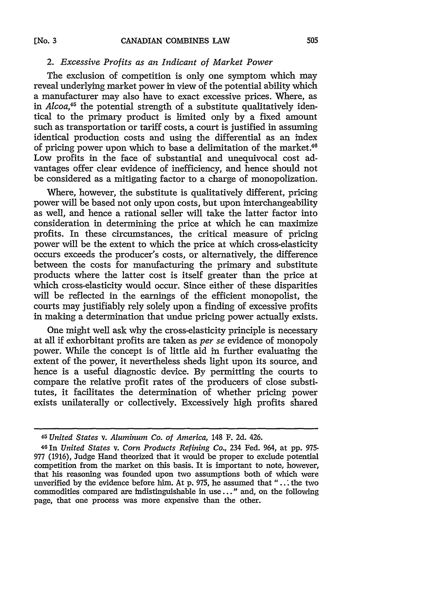### *2. Excessive Profits as an Indicant of Market Power*

The exclusion of competition is only one symptom which may reveal underlying market power in view of the potential ability which a manufacturer may also have to exact excessive prices. Where, as in *Alcoa*<sup>45</sup> the potential strength of a substitute qualitatively identical to the primary product is limited only by a fixed amount such as transportation or tariff costs, a court is justified in assuming identical production costs and using the differential as an index of pricing power upon which to base a delimitation of the market.<sup>46</sup> Low profits in the face of substantial and unequivocal cost advantages offer clear evidence of inefficiency, and hence should not be considered as a mitigating factor to a charge of monopolization.

Where, however, the substitute is qualitatively different, pricing power will be based not only upon costs, but upon interchangeability as well, and hence a rational seller will take the latter factor into consideration in determining the price at which he can maximize profits. In these circumstances, the critical measure of pricing power will be the extent to which the price at which cross-elasticity occurs exceeds the producer's costs, or alternatively, the difference between the costs for manufacturing the primary and substitute products where the latter cost is itself greater than the price at which cross-elasticity would occur. Since either of these disparities will be reflected in the earnings of the efficient monopolist, the courts may justifiably rely solely upon a finding of excessive profits in making a determination that undue pricing power actually exists.

One might well ask why the cross-elasticity principle is necessary at all if exhorbitant profits are taken as *per se* evidence of monopoly power. While the concept is of little aid in further evaluating the extent of the power, it nevertheless sheds light upon its source, and hence is a useful diagnostic device. By permitting the courts to compare the relative profit rates of the producers of close substitutes, it facilitates the determination of whether pricing power exists unilaterally or collectively. Excessively high profits shared

*<sup>45</sup> United States v. Aluminum Co. of America,* 148 F. 2d. 426.

<sup>461</sup>n *United States v. Corn Products Refining Co,* 234 Fed. 964, at pp. 975- 977 (1916), Judge Hand theorized that it would be proper to exclude potential competition from the market on this basis. It is important to note, however, that his reasoning was founded upon two assumptions both of which were unverified by the evidence before him. At p. 975, he assumed that "... the two commodities compared are indistinguishable in use..." and, on the following page, that one process was more expensive than the other.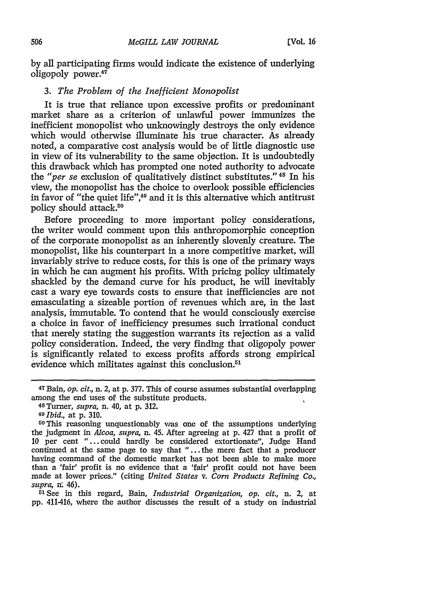by all participating firms would indicate the existence of underlying oligopoly power.<sup>47</sup>

## *3. The Problem of the Inefficient Monopolist*

It is true that reliance upon excessive profits or predominant market share as a criterion of unlawful power immunizes the inefficient monopolist who unknowingly destroys the only evidence which would otherwise illuminate his true character. As already noted, a comparative cost analysis would be of little diagnostic use in view of its vulnerability to the same objection. It is undoubtedly this drawback which has prompted one noted authority to advocate the "*per se* exclusion of qualitatively distinct substitutes."<sup>48</sup> In his view, the monopolist has the choice to overlook possible efficiencies in favor of "the quiet life", 49 and it is this alternative which antitrust policy should attack.<sup>50</sup>

Before proceeding to more important policy considerations, the writer would comment upon this anthropomorphic conception of the corporate monopolist as an inherently slovenly creature. The monopolist, like his counterpart in a more competitive market, will invariably strive to reduce costs, for this is one of the primary ways in which he can augment his profits. With pricing policy ultimately shackled by the demand curve for his product, he will inevitably cast a wary eye towards costs to ensure that inefficiencies are not emasculating a sizeable portion of revenues which are, in the last analysis, immutable. To contend that he would consciously exercise a choice in favor of inefficiency presumes such irrational conduct that merely stating the suggestion warrants its rejection as a valid policy consideration. Indeed, the very finding that oligopoly power is significantly related to excess profits affords strong empirical evidence which militates against this conclusion.<sup>51</sup>

pp. 411-416, where the author discusses the result of a study on industrial

<sup>47</sup> Bain, *op. cit.,* n. 2, at p. 377. This of course assumes substantial overlapping among the end uses of the substitute products.<br><sup>48</sup> Turner, *supra*, n. 40, at p. 312.

*<sup>49</sup> Ibid.,* at p. 310.

<sup>50</sup>This reasoning unquestionably was one of the assumptions underlying the judgment in *Alcoa, supra,* n. 45. After agreeing at p. 427 that a profit of 10 per cent "...could hardly be considered extortionate", Judge Hand continued at the same page to say that "...the mere fact that a producer having command of the domestic market has not been able to make more than a 'fair' profit is no evidence that a 'fair' profit could not have been made at lower prices." (citing *United States v. Corn Products Refining Co., supra,* n: 46). 5JSee in this regard, Bain, *Industrial Organization, op. cit.,* n. 2, at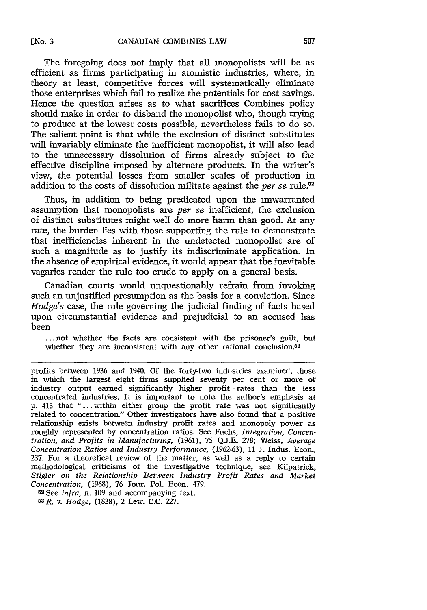The foregoing does not imply that all monopolists will be as efficient as firms participating in atomistic industries, where, in theory at least, competitive forces will systematically eliminate those enterprises which fail to realize the potentials for cost savings. Hence the question arises as to what sacrifices Combines policy should make in order to disband the monopolist who, though trying to produce at the lowest costs possible, nevertheless fails to do so. The salient point is that while the exclusion of distinct substitutes will invariably eliminate the inefficient monopolist, it will also lead to the unnecessary dissolution of firms already subject to the effective discipline imposed by alternate products. In the writer's view, the potential losses from smaller scales of production in addition to the costs of dissolution militate against the *per se* rule.<sup>52</sup>

Thus, in addition to being predicated upon the unwarranted assumption that monopolists are *per se* inefficient, the exclusion of distinct substitutes might well do more harm than good. At any rate, the burden lies with those supporting the rule to demonstrate that inefficiencies inherent in the undetected monopolist are of such a magnitude as to justify its indiscriminate application. In the absence of empirical evidence, it would appear that the inevitable vagaries render the rule too crude to apply on a general basis.

Canadian courts would unquestionably refrain from invoking such an unjustified presumption as the basis for a conviction. Since *Hodge's* case, the rule governing the judicial finding of facts based upon circumstantial evidence and prejudicial to an accused has been

**...not** whether the facts are consistent with the prisoner's guilt, but whether they are inconsistent with any other rational conclusion.<sup>53</sup>

profits between 1936 and 1940. Of the forty-two industries examined, those in which the largest eight firms supplied seventy per cent or more of industry output earned significantly higher profit rates than the less concentrated industries. It is important to note the author's emphasis at p. 413 that "...within either group the profit rate was not significantly related to concentration." Other investigators have also found that a positive relationship exists between industry profit rates and monopoly power as roughly represented by concentration ratios. See Fuchs, *Integration, Concentration, and Profits in Manufacturing,* (1961), 75 **Q.J.E.** 278; Weiss, *Average Concentration Ratios and Industry Performance,* (1962-63), **11** J. Indus. Econ., 237. For a theoretical review of the matter, as well as a reply to certain methodological criticisms of the investigative technique, see Kilpatrick, *Stigler on the Relationship Between Industry Profit Rates and Market Concentration,* (1968), 76 Sour. Pol. Econ. 479.

5 <sup>2</sup>See *infra,* n. **109** and accompanying text.

53R. v. *Hodge,* (1838), 2 Lew. C.C. 227.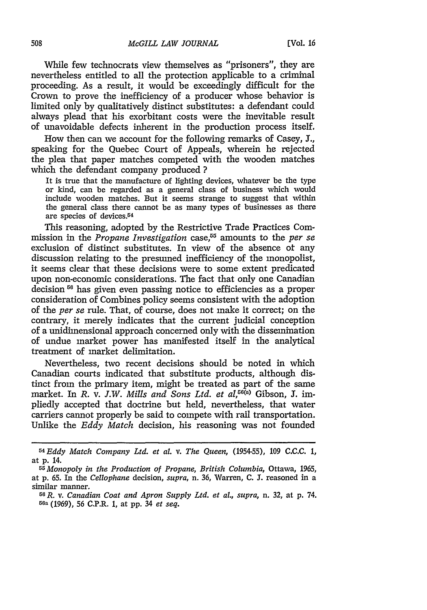While few technocrats view themselves as "prisoners", they are nevertheless entitled to all the protection applicable to a criminal proceeding. As a result, it would be exceedingly difficult for the Crown to prove the inefficiency of a producer whose behavior is limited only by qualitatively distinct substitutes: a defendant could always plead that his exorbitant costs were the inevitable result of unavoidable defects inherent in the production process itself.

How then can we account for the following remarks of Casey, **J.,** speaking for the Quebec Court of Appeals, wherein he rejected the plea that paper matches competed with the wooden matches which the defendant company produced **?**

It is true that the manufacture of lighting devices, whatever be the type or kind, can be regarded as a general class of business which would include wooden matches. But it seems strange to suggest that within the general class there cannot be as many types of businesses as there are species of devices.<sup>54</sup>

This reasoning, adopted by the Restrictive Trade Practices Commission in the *Propane Investigation* case,<sup>55</sup> amounts to the *per se* exclusion of distinct substitutes. In view of the absence ot any discussion relating to the presumed inefficiency of the monopolist, it seems clear that these decisions were to some extent predicated upon non-economic considerations. The fact that only one Canadian decision <sup>56</sup> has given even passing notice to efficiencies as a proper consideration of Combines policy seems consistent with the adoption of the *per se* rule. That, of course, does not make it correct; on the contrary, it merely indicates that the current judicial conception of a unidimensional approach concerned only with the dissemination of undue market power has manifested itself in the analytical treatment of market delimitation.

Nevertheless, two recent decisions should be noted in which Canadian courts indicated that substitute products, although distinct from the primary item, might be treated as part of the same market. In *R. v. J.W. Mills and Sons Ltd. et al.*<sup>56(a)</sup> Gibson. J. impliedly accepted that doctrine but held, nevertheless, that water carriers cannot properly be said to compete with rail transportation. Unlike the *Eddy Match* decision, his reasoning was not founded

*<sup>54</sup>Eddy Match Company Ltd. et at. v. The Queen,* (1954-55), **109** C.C.C. **1,** at p. 14.

*<sup>55</sup> Monopoly in the Production of Propane, British Columbia,* Ottawa, 1965, at p. 65. In the *Cellophane* decision, *supra,* n. 36, Warren, C. **J.** reasoned in a similar manner. *<sup>5</sup> <sup>6</sup> R.* v. *Canadian Coat and Apron Supply Ltd. et at., supra,* n. 32, at p. 74.

<sup>56</sup>a (1969), 56 C.P.R. 1, at pp. 34 *et seq.*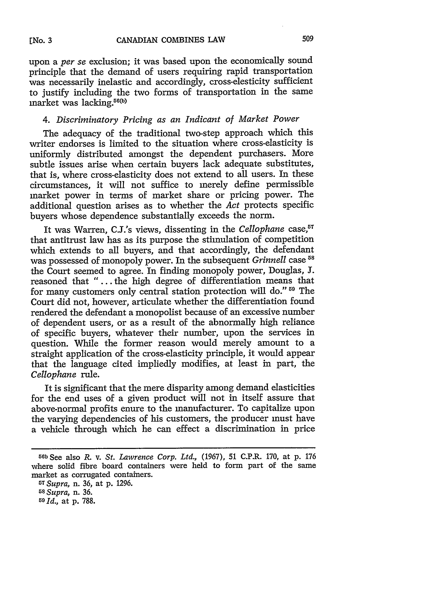upon a *per se* exclusion; it was based upon the economically sound principle that the demand of users requiring rapid transportation was necessarily inelastic and accordingly, cross-elesticity sufficient to justify including the two forms of transportation in the same  $market$  was lacking.<sup>56(b)</sup>

509

# *4. Discriminatory Pricing as an Indicant of Market Power*

The adequacy of the traditional two-step approach which this writer endorses is limited to the situation where cross-elasticity is uniformly distributed amongst the dependent purchasers. More subtle issues arise when certain buyers lack adequate substitutes, that is, where cross-elasticity does not extend to all users. In these circumstances, it will not suffice to merely define permissible market power in terms of market share or pricing power. The additional question arises as to whether the *Act* protects specific buyers whose dependence substantially exceeds the norm.

It was Warren, C.J.'s views, dissenting in the *Cellophane* case,<sup>57</sup> that antitrust law has as its purpose the stimulation of competition which extends to all buyers, and that accordingly, the defendant was possessed of monopoly power. In the subsequent *Grinnell* case **<sup>58</sup>** the Court seemed to agree. In finding monopoly power, Douglas, **J.** reasoned that *"...* . the high degree of differentiation means that for many customers only central station protection will do."<sup>59</sup> The Court did not, however, articulate whether the differentiation found rendered the defendant a monopolist because of an excessive number of dependent users, or as a result of the abnormally high reliance of specific buyers, whatever their number, upon the services in question. While the former reason would merely amount to a straight application of the cross-elasticity principle, it would appear that the language cited impliedly modifies, at least in part, the *Cellophane* rule.

It is significant that the mere disparity among demand elasticities for the end uses of a given product will not in itself assure that above-normal profits enure to the manufacturer. To capitalize upon the varying dependencies of his customers, the producer must have a vehicle through which he can effect a discrimination in price

*<sup>57</sup> Supra,* n. 36, at p. 1296. <sup>58</sup>*Supra,* n. **36.** <sup>59</sup>*Id.,* at p. 788.

**<sup>5</sup>ob** See also *R.* v. *St. Lawrence Corp. Ltd.,* (1967), 51 C.P.R. 170, at p. 176 where solid fibre board containers were held to form part of the same market as corrugated containers.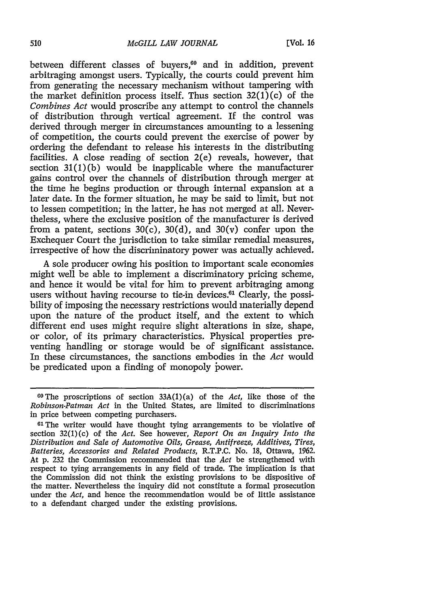between different classes of buyers,<sup>60</sup> and in addition, prevent arbitraging amongst users. Typically, the courts could prevent him from generating the necessary mechanism without tampering with the market definition process itself. Thus section  $32(1)(c)$  of the *Combines Act* would proscribe any attempt to control the channels of distribution through vertical agreement. If the control was derived through merger in circumstances amounting to a lessening of competition, the courts could prevent the exercise of power by ordering the defendant to release his interests in the distributing facilities. A close reading of section 2(e) reveals, however, that section  $31(1)(b)$  would be inapplicable where the manufacturer gains control over the channels of distribution through merger at the time he begins production or through internal expansion at a later date. In the former situation, he may be said to limit, but not to lessen competition; in the latter, he has not merged at all. Nevertheless, where the exclusive position of the manufacturer is derived from a patent, sections  $30(c)$ ,  $30(d)$ , and  $30(v)$  confer upon the Exchequer Court the jurisdiction to take similar remedial measures, irrespective of how the discriminatory power was actually achieved.

A sole producer owing his position to important scale economies might well be able to implement a discriminatory pricing scheme, and hence it would be vital for him to prevent arbitraging among users without having recourse to tie-in devices.<sup>61</sup> Clearly, the possibility of imposing the necessary restrictions would materially depend upon the nature of the product itself, and the extent to which different end uses might require slight alterations in size, shape, or color, of its primary characteristics. Physical properties preventing handling or storage would be of significant assistance. In these circumstances, the sanctions embodies in the *Act* would be predicated upon a finding of monopoly power.

**<sup>60</sup>The** proscriptions of section 33A(1) (a) of the *Act,* like those of the *Robinson-Patman Act* in the United States, are limited to discriminations in price between competing purchasers.

**<sup>61</sup>**The writer would have thought tying arrangements to be violative of section 32(1)(c) of the *Act.* See however, *Report On an Inquiry Into the Distribution and Sale of Automotive Oils, Grease, Antifreeze, Additives, Tires, Batteries, Accessories and Related Products,* R.T.P.C. No. 18, Ottawa, 1962. At p. 232 the Commission recommended that the *Act* be strengthened with respect to tying arrangements in any field of trade. The implication is that the Commission did not think the existing provisions to be dispositive of the matter. Nevertheless the inquiry did not constitute a formal prosecution under the *Act,* and hence the recommendation would be of little assistance to a defendant charged under the existing provisions.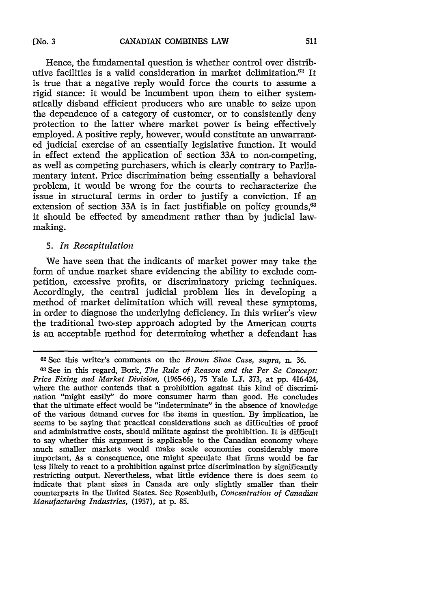Hence, the fundamental question is whether control over distributive facilities is a valid consideration in market delimitation.<sup>62</sup> It is true that a negative reply would force the courts to assume a rigid stance: it would be incumbent upon them to either systematically disband efficient producers who are unable to seize upon the dependence of a category of customer, or to consistently deny protection to the latter where market power is being effectively employed. A positive reply, however, would constitute an unwarranted judicial exercise of an essentially legislative function. It would in effect extend the application of section 33A to non-competing, as well as competing purchasers, which is clearly contrary to Parliamentary intent. Price discrimination being essentially a behavioral problem, it would be wrong for the courts to recharacterize the issue in structural terms in order to justify a conviction. If an extension of section 33A is in fact justifiable on policy grounds, $63$ it should be effected by amendment rather than by judicial lawmaking.

### **5.** *In Recapitulation*

We have seen that the indicants of market power may take the form of undue market share evidencing the ability to exclude competition, excessive profits, or discriminatory pricing techniques. Accordingly, the central judicial problem lies in developing a method of market delimitation which will reveal these symptoms, in order to diagnose the underlying deficiency. In this writer's view the traditional two-step approach adopted by the American courts is an acceptable method for determining whether a defendant has

**<sup>02</sup>See** this writer's comments on the *Brown Shoe Case, supra,* n. 36. 63See in this regard, Bork, *The Rule of Reason and the Per Se Concept: Price Fixing and Market Division,* (1965-66), 75 Yale L.. 373, at pp. 416-424, where the author contends that a prohibition against this kind of discrimination "might easily" do more consumer harm than good. He concludes that the ultimate effect would be "indeterminate" in the absence of knowledge of the various demand curves for the items in question. By implication, he seems to be saying that practical considerations such as difficulties of proof and administrative costs, should militate against the prohibition. It is difficult to say whether this argument is applicable to the Canadian economy where much smaller markets would make scale economies considerably more important. As a consequence, one might speculate that firms would be far less likely to react to a prohibition against price discrimination by significantly restricting output. Nevertheless, what little evidence there is does seem to indicate that plant sizes in Canada are only slightly smaller than their counterparts in the United States. See Rosenbluth, *Concentration of Canadian Manufacturing Industries,* (1957), at p. 85.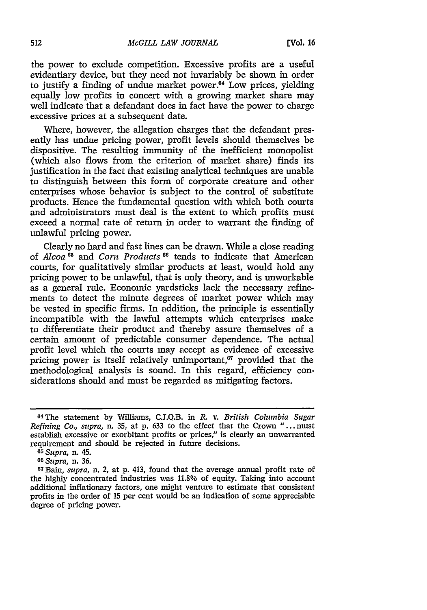the power to exclude competition. Excessive profits are a useful evidentiary device, but they need not invariably be shown in order to justify a finding of undue market power. $64$  Low prices, yielding equally low profits in concert with a growing market share may well indicate that a defendant does in fact have the power to charge excessive prices at a subsequent date.

Where, however, the allegation charges that the defendant presently has undue pricing power, profit levels should themselves be dispositive. The resulting immunity of the inefficient monopolist (which also flows from the criterion of market share) finds its justification in the fact that existing analytical techniques are unable to distinguish between this form of corporate creature and other enterprises whose behavior is subject to the control of substitute products. Hence the fundamental question with which both courts and administrators must deal is the extent to which profits must exceed a normal rate of return in order to warrant the finding of unlawful pricing power.

Clearly no hard and fast lines can be drawn. While a close reading of *Alcoa 65* and *Corn Products"0* tends to indicate that American courts, for qualitatively similar products at least, would hold any pricing power to be unlawful, that is only theory, and is unworkable as a general rule. Economic yardsticks lack the necessary refinements to detect the minute degrees of market power which may be vested in specific firms. In addition, the principle is essentially incompatible with the lawful attempts which enterprises make to differentiate their product and thereby assure themselves of a certain amount of predictable consumer dependence. The actual profit level which the courts may accept as evidence of excessive pricing power is itself relatively unimportant, $67$  provided that the methodological analysis is sound. In this regard, efficiency considerations should and must be regarded as mitigating factors.

<sup>64</sup>The statement by Williams, CJ.Q.B. in *R.* v. *British Columbia Sugar Refining Co., supra,* n. **35,** at p. **633** to the effect that the Crown "... must establish excessive or exorbitant profits or prices," is clearly an unwarranted requirement and should be rejected in future decisions.

*<sup>65</sup> Supra,* n. 45.

*<sup>60</sup>Supra,* n. 36.

<sup>6</sup>TBain, *supra,* n. 2, at p. 413, found that the average annual profit rate of the highly concentrated industries was 11.8% of equity. Taking into account additional inflationary factors, one might venture to estimate that consistent profits in the order of 15 per cent would be an indication of some appreciable degree of pricing power.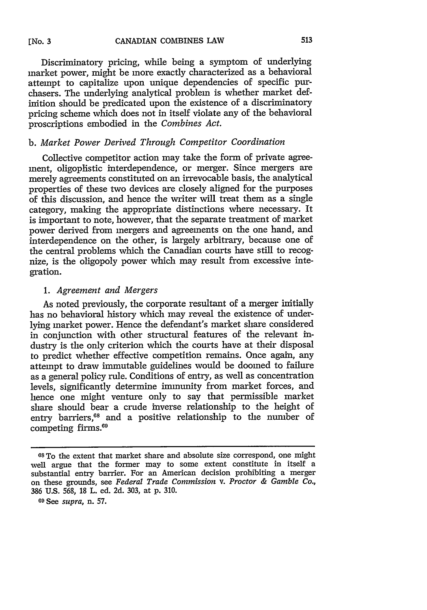Discriminatory pricing, while being a symptom of underlying market power, might be more exactly characterized as a behavioral attempt to capitalize upon unique dependencies of specific purchasers. The underlying analytical problem is whether market definition should be predicated upon the existence of a discriminatory pricing scheme which does not in itself violate any of the behavioral proscriptions embodied in the *Combines Act.*

### *b. Market Power Derived Through Competitor Coordination*

Collective competitor action may take the form of private agreement, oligoplistic interdependence, or merger. Since mergers are merely agreements constituted on an irrevocable basis, the analytical properties of these two devices are closely aligned for the purposes of this discussion, and hence the writer will treat them as a single category, making the appropriate distinctions where necessary. It is important to note, however, that the separate treatment of market power derived from mergers and agreements on the one hand, and interdependence on the other, is largely arbitrary, because one of the central problems which the Canadian courts have still to recognize, is the oligopoly power which may result from excessive integration.

### *1. Agreement and Mergers*

As noted previously, the corporate resultant of a merger initially has no behavioral history which may reveal the existence of underlying market power. Hence the defendant's market share considered in conjunction with other structural features of the relevant industry is the only criterion which the courts have at their disposal to predict whether effective competition remains. Once again, any attempt to draw immutable guidelines would be doomed to failure as a general policy rule. Conditions of entry, as well as concentration levels, significantly determine immunity from market forces, and hence one might venture only to say that permissible market share should bear a crude inverse relationship to the height of entry barriers,<sup>68</sup> and a positive relationship to the number of competing firms.<sup>69</sup>

**<sup>68</sup>**To the extent that market share and absolute size correspond, one might well argue that the former may to some extent constitute in itself a substantial entry barrier. For an American decision prohibiting a merger on these grounds, see *Federal Trade Commission v. Proctor & Gamble Co.,* 386 U.S. 568, **18** L. ed. 2d. 303, at p. 310.

**<sup>69</sup>**See *supra,* n. 57.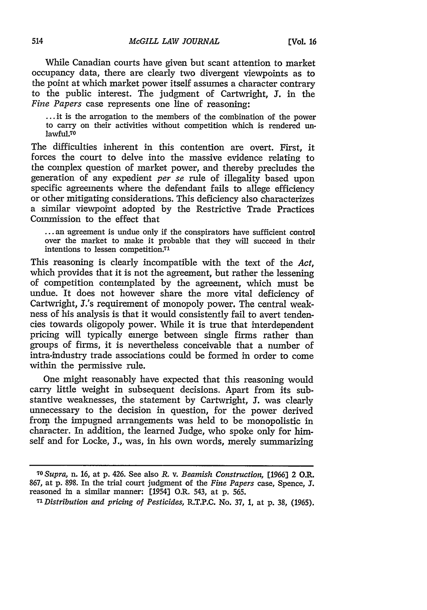While Canadian courts have given but scant attention to market occupancy data, there are clearly two divergent viewpoints as to the point at which market power itself assumes a character contrary to the public interest. The judgment of Cartwright, **J.** in the *Fine Papers* case represents one line of reasoning:

... it is the arrogation to the members of the combination of the power to carry on their activities without competition which is rendered unlawful.70

The difficulties inherent in this contention are overt. First, it forces the court to delve into the massive evidence relating to the complex question of market power, and thereby precludes the generation of any expedient *per se* rule of illegality based upon specific agreements where the defendant fails to allege efficiency or other mitigating considerations. This deficiency also characterizes a similar viewpoint adopted by the Restrictive Trade Practices Commission to the effect that

... an agreement is undue only if the conspirators have sufficient control over the market to make it probable that they will succeed in their intentions to lessen competition.<sup>71</sup>

This reasoning is clearly incompatible with the text of the *Act,* which provides that it is not the agreement, but rather the lessening of competition contemplated by the agreement, which must be undue. It does not however share the more vital deficiency of Cartwright, J.'s requirement of monopoly power. The central weakness of his analysis is that it would consistently fail to avert tendencies towards oligopoly power. While it is true that interdependent pricing will typically emerge between single firms rather than groups of firms, it is nevertheless conceivable that a number of intra-industry trade associations could be formed in order to come within the permissive rule.

One might reasonably have expected that this reasoning would carry little weight in subsequent decisions. Apart from its substantive weaknesses, the statement by Cartwright, **J.** was clearly unnecessary to the decision in question, for the power derived from the impugned arrangements was held to be monopolistic in character. In addition, the learned Judge, who spoke only for himself and for Locke, **J.,** was, in his own words, merely summarizing

*<sup>70</sup>Supra,* n. 16, at p. 426. See also *R.* v. *Beamish Construction,* [1966] 2 O.R. 867, at p. 898. In the trial court judgment of the *Fine Papers* case, Spence, **J.** reasoned in a similar manner: [1954] O.R. 543, at p. 565.

*<sup>7&#</sup>x27; Distribution and pricing of Pesticides,* R.T.P.C. No. 37, 1, at p. 38, (1965).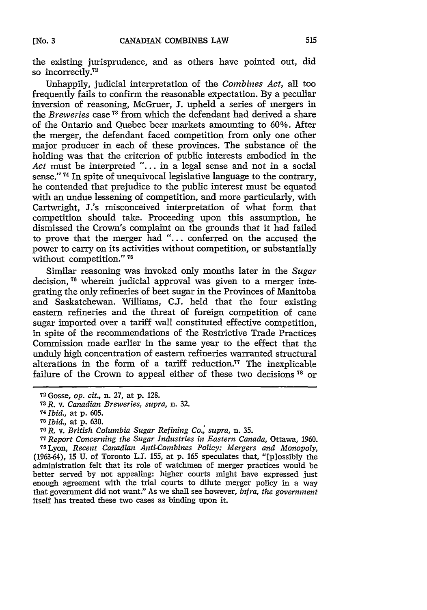the existing jurisprudence, and as others have pointed out, did so incorrectly $^{72}$ 

Unhappily, judicial interpretation of the *Combines Act,* all too frequently fails to confirm the reasonable expectation. By a peculiar inversion of reasoning, McGruer, **J.** upheld a series of mergers in the *Breweries* case **<sup>1</sup> <sup>3</sup>**from which the defendant had derived a share of the Ontario and Quebec beer markets amounting to 60%. After the merger, the defendant faced competition from only one other major producer in each of these provinces. The substance of the holding was that the criterion of public interests embodied in the Act must be interpreted "... in a legal sense and not in a social sense."<sup>74</sup> In spite of unequivocal legislative language to the contrary, he contended that prejudice to the public interest must be equated with an undue lessening of competition, and more particularly, with Cartwright, J.'s misconceived interpretation of what form that competition should take. Proceeding upon this assumption, he dismissed the Crown's complaint on the grounds that it had failed to prove that the merger had *"....* conferred on the accused the power to carry on its activities without competition, or substantially without competition."<sup>75</sup>

Similar reasoning was invoked only months later in the *Sugar* decision, **76** wherein judicial approval was given to a merger integrating the only refineries of beet sugar in the Provinces of Manitoba and Saskatchewan. Williams, C.J. held that the four existing eastern refineries and the threat of foreign competition of cane sugar imported over a tariff wall constituted effective competition, in spite of the recommendations of the Restrictive Trade Practices Commission made earlier in the same year to the effect that the unduly high concentration of eastern refineries warranted structural alterations in the form of a tariff reduction.<sup>77</sup> The inexplicable failure of the Crown to appeal either of these two decisions<sup>78</sup> or

<sup>72</sup> Gosse, *op. cit.,* n. 27, at p. 128.

**<sup>73</sup>R.** v. *Canadian Breweries, supra,* n. **32.**

*<sup>74</sup>Ibid.,* at p. 605.

**<sup>76</sup>***Ibid.,* at p. 630.

*<sup>76</sup>R.* v. *British Columbia Sugar Refining Co., supra,* n. 35.

*<sup>77</sup> Report Concerning the Sugar Industries in Eastern Canada,* Ottawa, 1960. <sup>7</sup> 8Lyon, *Recent Canadian Anti-Combines Policy: Mergers and Monopoly,* (1963-64), **15** U. of Toronto **LJ.** 155, at p. **165** speculates that, "[p]ossibly the administration felt that its role of watchmen of merger practices would be better served **by** not appealing: higher courts might have expressed just enough agreement with the trial courts to dilute merger policy in a way that government did not want." As we shall see however, *infra, the government* itself has treated these two cases as binding upon it.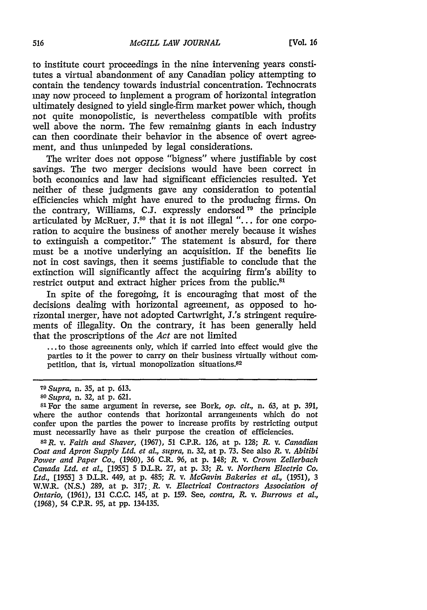to institute court proceedings in the nine intervening years constitutes a virtual abandonment of any Canadian policy attempting to contain the tendency towards industrial concentration. Technocrats may now proceed to implement a program of horizontal integration ultimately designed to yield single-firm market power which, though not quite monopolistic, is nevertheless compatible with profits well above the norm. The few remaining giants in each industry can then coordinate their behavior in the absence of overt agreement, and thus unimpeded by legal considerations.

The writer does not oppose "bigness" where justifiable by cost savings. The two merger decisions would have been correct in both economics and law had significant efficiencies resulted. Yet neither of these judgments gave any consideration to potential efficiencies which might have enured to the producing firms. On the contrary, Williams, C.J. expressly endorsed  $79$  the principle articulated by McRuer, J.<sup>80</sup> that it is not illegal "... for one corporation to acquire the business of another merely because it wishes to extinguish a competitor." The statement is absurd, for there must be a motive underlying an acquisition. If the benefits lie not in cost savings, then it seems justifiable to conclude that the extinction will significantly affect the acquiring firm's ability to restrict output and extract higher prices from the public.<sup>81</sup>

In spite of the foregoing, it is encouraging that most of the decisions dealing with horizontal agreement, as opposed to horizontal merger, have not adopted Cartwright, J.'s stringent requirements of illegality. On the contrary, it has been generally held that the proscriptions of the *Act* are not limited

**...** to those agreements only, which if carried into effect would give the parties to it the power to carry on their business virtually without competition, that is, virtual monopolization situations.<sup>82</sup>

*<sup>79</sup> Supra,* n. 35, at p. 613.

*<sup>80</sup>Supra,* n. 32, at p. 621.

**<sup>81</sup>**For the same argument in reverse, see Bork, *op. cit.,* n. 63, at p. 391, where the author contends that horizontal arrangements which do not confer upon the parties the power to increase profits by restricting output must necessarily have as their purpose the creation of efficiencies.

<sup>8</sup> <sup>2</sup> R. v. *Faith and Shaver,* (1967), 51 C.P.R. 126, at p. 128; *R.* v. *Canadian Coat and Apron Supply Ltd. et at., supra,* n. 32, at p. 73. See also *R.* v. *Abitibi Power and Paper Co.,* (1960), 36 C.R. 96, at p. 148; *R.* v. *Crown Zellerbach Canada Ltd. et al.,* [1955] 5 D.L.R. 27, at p. 33; *R.* v. *Northern Electric Co. Ltd.,* [1955] 3 D.L.R. 449, at p. 485; *R.* v. *McGavin Bakeries et al.,* (1951), 3 W.W.R. (N.S.) 289, at p. 317; *R. v. Electrical Contractors Association of Ontario,* (1961), 131 C.C.C. 145, at p. 159. See, *contra, R. v. Burrows et al.,* (1968), 54 C.P.R. 95, at pp. 134-135.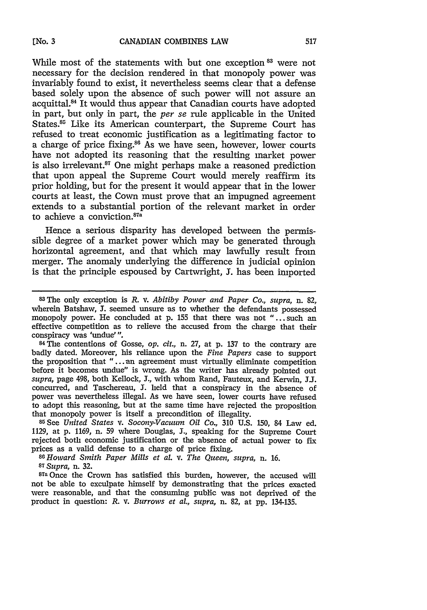While most of the statements with but one exception <sup>83</sup> were not necessary for the decision rendered in that monopoly power was invariably found to exist, it nevertheless seems clear that a defense based solely upon the absence of such power will not assure an acquittal. 84 It would thus appear that Canadian courts have adopted in part, but only in part, the *per se* rule applicable in the United States.<sup>85</sup> Like its American counterpart, the Supreme Court has refused to treat economic justification as a legitimating factor to a charge of price fixing.86 As we have seen, however, lower courts have not adopted its reasoning that the resulting market power is also irrelevant.<sup>87</sup> One might perhaps make a reasoned prediction that upon appeal the Supreme Court would merely reaffirm its prior holding, but for the present it would appear that in the lower courts at least, the Cown must prove that an impugned agreement extends to a substantial portion of the relevant market in order to achieve a conviction.<sup>876</sup>

Hence a serious disparity has developed between the permissible degree of a market power which may be generated through horizontal agreement, and that which may lawfully result from merger. The anomaly underlying the difference in judicial opinion is that the principle espoused by Cartwright, **J.** has been imported

84 The contentions of Gosse, *op. cit.,* n. 27, at p. 137 to the contrary are badly dated. Moreover, his reliance upon the *Fine Papers* case to support the proposition that "...an agreement must virtually eliminate competition before it becomes undue" is wrong. As the writer has already pointed out *supra,* page 498, both Kellock, **J.,** with whom Rand, Fauteux, and Kerwin, JJ. concurred, and Taschereau, **J.** held that a conspiracy in the absence of power was nevertheless illegal. As we have seen, lower courts have refused to adopt this reasoning, but at the same time have rejected the proposition that monopoly power is itself a precondition of illegality.

<sup>85</sup> See *United States v. Socony-Vacuum Oil Co.*, 310 U.S. 150, 84 Law ed. 1129, at p. 1169, n. 59 where Douglas, J., speaking for the Supreme Court rejected both economic justification or the absence of actual power to fix prices as a valid defense to a charge of price fixing.<br><sup>86</sup> Howard Smith Paper Mills et al. *v. The Queen, supra, n.* 16.

*<sup>87</sup> Supra,* n. 32.

**87a** Once the Crown has satisfied this burden, however, the accused will not be able to exculpate himself by demonstrating that the prices exacted were reasonable, and that the consuming public was not deprived of the product in question: *R.* v. *Burrows et al., supra,* n. 82, at pp. 134-135.

**<sup>83</sup>The** only exception is *R.* v. *Abitiby Power and Paper Co., supra,* n. 82, wherein Batshaw, J. seemed unsure as to whether the defendants possessed monopoly power. He concluded at p. 155 that there was not "...such an effective competition as to relieve the accused from the charge that their conspiracy was 'undue' ".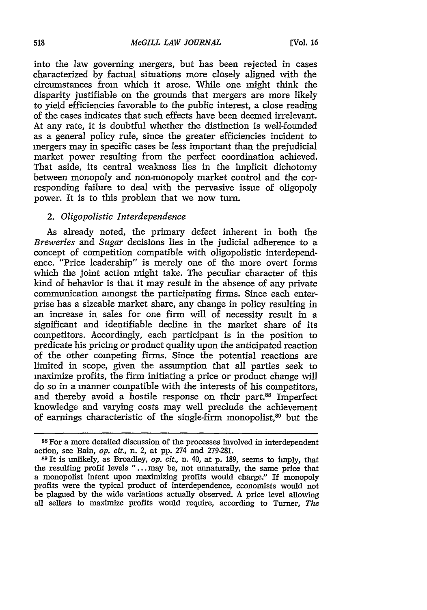into the law governing mergers, but has been rejected in cases characterized by factual situations more closely aligned with the circumstances from which it arose. While one might think the disparity justifiable on the grounds that mergers are more likely to yield efficiencies favorable to the public interest, a close reading of the cases indicates that such effects have been deemed irrelevant. At any rate, it is doubtful whether the distinction is well-founded as a general policy rule, since the greater efficiencies incident to mergers may in specific cases be less important than the prejudicial market power resulting from the perfect coordination achieved. That aside, its central weakness lies in the implicit dichotomy between monopoly and non-monopoly market control and the corresponding failure to deal with the pervasive issue of oligopoly power. It is to this problem that we now turn.

## *2. Oligopolistic Interdependence*

As already noted, the primary defect inherent in both the *Breweries* and *Sugar* decisions lies in the judicial adherence to a concept of competition compatible with oligopolistic interdependence. "Price leadership" is merely one of the more overt forms which the joint action might take. The peculiar character of this kind of behavior is that it may result in the absence of any private communication amongst the participating firms. Since each enterprise has a sizeable market share, any change in policy resulting in an increase in sales for one firm will of necessity result in a significant and identifiable decline in the market share of its competitors. Accordingly, each participant is in the position to predicate his pricing or product quality upon the anticipated reaction of the other competing firms. Since the potential reactions are limited in scope, given the assumption that all parties seek to maximize profits, the firm initiating a price or product change will do so in a manner compatible with the interests of his competitors, and thereby avoid a hostile response on their part.<sup>88</sup> Imperfect knowledge and varying costs may well preclude the achievement of earnings characteristic of the single-firm monopolist,<sup>89</sup> but the

**<sup>88</sup>**For a more detailed discussion of the processes involved in interdependent action, see Bain, *op. cit.,* n. 2, at pp. 274 and 279-281.

**<sup>89</sup>**It is unlikely, as Broadley, *op. cit.,* n. 40, at p. 189, seems to imply, that the resulting profit levels "... may be, not unnaturally, the same price that a monopolist intent upon maximizing profits would charge." If monopoly profits were the typical product of interdependence, economists would not be plagued by the wide variations actually observed. A price level allowing all sellers to maximize profits would require, according to Turner, *The*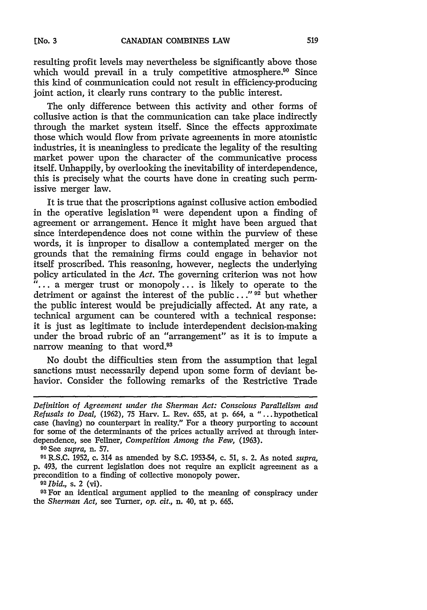resulting profit levels may nevertheless be significantly above those which would prevail in a truly competitive atmosphere. $90$  Since this kind of communication could not result in efficiency-producing joint action, it clearly runs contrary to the public interest.

The only difference between this activity and other forms of collusive action is that the communication can take place indirectly through the market system itself. Since the effects approximate those which would flow from private agreements in more atomistic industries, it is meaningless to predicate the legality of the resulting market power upon the character of the communicative process itself. Unhappily, by overlooking the inevitability of interdependence, this is precisely what the courts have done in creating such permissive merger law.

It is true that the proscriptions against collusive action embodied in the operative legislation **91** were dependent upon a finding of agreement or arrangement. Hence it might have been argued that since interdependence does not come within the purview of these words, it is improper to disallow a contemplated merger on the grounds that the remaining firms could engage in behavior not itself proscribed. This reasoning, however, neglects the underlying policy articulated in the *Act.* The governing criterion was not how  $\ddot{ }$ ... a merger trust or monopoly... is likely to operate to the detriment or against the interest of the public...<sup>" 92</sup> but whether the public interest would be prejudicially affected. At any rate, a technical argument can be countered with a technical response: it is just as legitimate to include interdependent decision-making under the broad rubric of an "arrangement" as it is to impute a narrow meaning to that word.<sup>93</sup>

No doubt the difficulties stem from the assumption that legal sanctions must necessarily depend upon some form of deviant behavior. Consider the following remarks of the Restrictive Trade

**<sup>90</sup>**See *supra,* n. 57.

**<sup>91</sup>**R.S.C. 1952, c. 314 as amended by S.C. 1953-54, c. **51,** s. 2. As noted *supra,* p. 493, the current legislation does not require an explicit agreement as a precondition to a finding of collective monopoly power.

**<sup>92</sup>***Ibid.,* s. 2 (vi).

<sup>93</sup> For an identical argument applied to the meaning of conspiracy under the *Sherman Act,* see Turner, *op. cit.,* n. 40, at p. 665.

*Definition of Agreement under the Sherman Act: Conscious Parallelism and Refusals to Deal,* (1962), 75 Harv. L. Rev. 655, at p. 664, a "...hypothetical case (having) no counterpart in reality." For a theory purporting to account for some of the determinants of the prices actually arrived at through interdependence, see Felner, *Competition Among the Few,* (1963).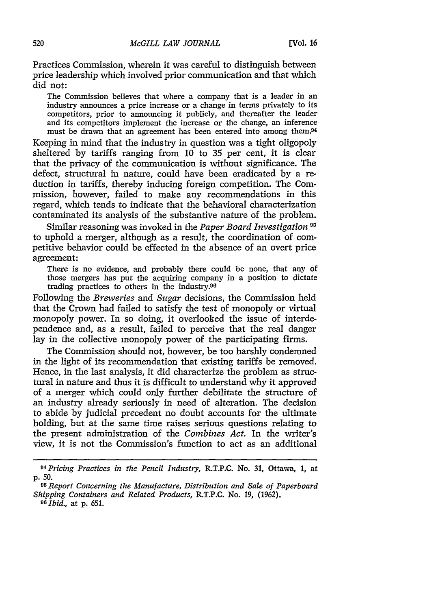Practices Commission, wherein it was careful to distinguish between price leadership which involved prior communication and that which did not:

The Commission believes that where a company that is a leader in an industry announces a price increase or a change in terms privately to its competitors, prior to announcing it publicly, and thereafter the leader and its competitors implement the increase or the change, an inference must be drawn that an agreement has been entered into among them.<sup>94</sup>

Keeping in mind that the industry in question was a tight oligopoly sheltered by tariffs ranging from 10 to 35 per cent, it is clear that the privacy of the communication is without significance. The defect, structural in nature, could have been eradicated by a reduction in tariffs, thereby inducing foreign competition. The Commission, however, failed to make any recommendations in this regard, which tends to indicate that the behavioral characterization contaminated its analysis of the substantive nature of the problem.

Similar reasoning was invoked in the *Paper Board Investigation <sup>9</sup>* to uphold a merger, although as a result, the coordination of competitive behavior could be effected in the absence of an overt price agreement:

There is no evidence, and probably there could be none, that any of those mergers has put the acquiring company in a position to dictate trading practices to others in the industry.<sup>96</sup>

Following the *Breweries and Sugar* decisions, the Commission held that the Crown had failed to satisfy the test of monopoly or virtual monopoly power. In so doing, it overlooked the issue of interdependence and, as a result, failed to perceive that the real danger lay in the collective monopoly power of the participating firms.

The Commission should not, however, be too harshly condemned in the light of its recommendation that existing tariffs be removed. Hence, in the last analysis, it did characterize the problem as structural in nature and thus it is difficult to understand why it approved of a merger which could only further debilitate the structure of an industry already seriously in need of alteration. The decision to abide by judicial precedent no doubt accounts for the ultimate holding, but at the same time raises serious questions relating to the present administration of the *Combines Act.* In the writer's view, it is not the Commission's function to act as an additional

*<sup>94</sup> Pricing Practices in the Pencil Industry,* R.T.P.C. No. 31, Ottawa, **1,** at p. 50.

*<sup>95</sup>Report Concerning the Manufacture, Distribution and Sale of Paperboard Shipping Containers and Related Products,* R.T.P.C. No. 19, (1962).

*<sup>96</sup>Ibid.,* at **p.** 651.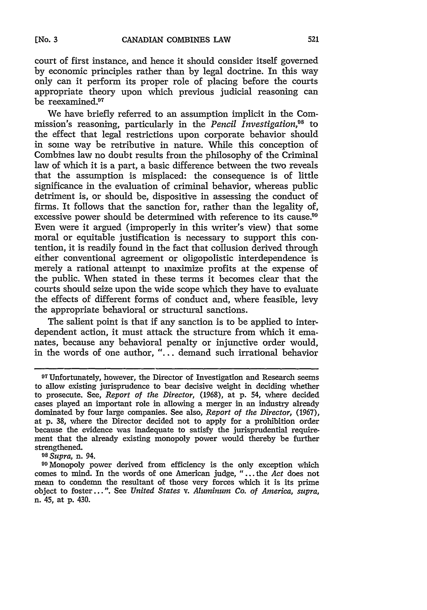court of first instance, and hence it should consider itself governed by economic principles rather than by legal doctrine. In this way only can it perform its proper role of placing before the courts appropriate theory upon which previous judicial reasoning can be reexamined.<sup>97</sup>

We have briefly referred to an assumption implicit in the Commission's reasoning, particularly in the *Pencil Investigation*,<sup>98</sup> to the effect that legal restrictions upon corporate behavior should in some way be retributive in nature. While this conception of Combines law no doubt results from the philosophy of the Criminal law of which it is a part, a basic difference between the two reveals that the assumption is misplaced: the consequence is of little significance in the evaluation of criminal behavior, whereas public detriment is, or should be, dispositive in assessing the conduct of firms. It follows that the sanction for, rather than the legality of, excessive power should be determined with reference to its cause.<sup>99</sup> Even were it argued (improperly in this writer's view) that some moral or equitable justification is necessary to support this contention, it is readily found in the fact that collusion derived through either conventional agreement or oligopolistic interdependence is merely a rational attempt to maximize profits at the expense of the public. When stated in these terms it becomes clear that the courts should seize upon the wide scope which they have to evaluate the effects of different forms of conduct and, where feasible, levy the appropriate behavioral or structural sanctions.

The salient point is that if any sanction is to be applied to interdependent action, it must attack the structure from which it emanates, because any behavioral penalty or injunctive order would, in the words of one author, "... demand such irrational behavior

**<sup>09</sup>**Monopoly power derived from efficiency is the only exception which comes to mind. In the words of one American judge, "... the *Act* does not mean to condemn the resultant of those very forces which it is its prime object to foster... ". See *United States v. Aluminum Co. of America, supra,* n. 45, at p. 430.

**<sup>97</sup>**Unfortunately, however, the Director of Investigation and Research seems to allow existing jurisprudence to bear decisive weight in deciding whether to prosecute. See, *Report of the Director,* **(1968),** at **p.** 54, where decided cases played an important role in allowing a merger in an industry already dominated by four large companies. See also, *Report of the Director,* (1967), at p. 38, where the Director decided not to apply for a prohibition order because the evidence was inadequate to satisfy the jurisprudential requirement that the already existing monopoly power would thereby be further strengthened. **<sup>98</sup>***Supra,* n. 94.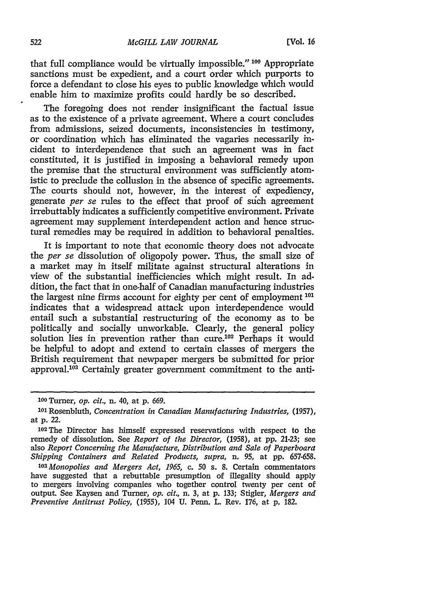that full compliance would be virtually impossible." **100** Appropriate sanctions must be expedient, and a court order which purports to force a defendant to close his eyes to public knowledge which would enable him to maximize profits could hardly be so described.

The foregoing does not render insignificant the factual issue as to the existence of a private agreement. Where a court concludes from admissions, seized documents, inconsistencies in testimony, or coordination which has eliminated the vagaries necessarily incident to interdependence that such an agreement was in fact constituted, it is justified in imposing a behavioral remedy upon the premise that the structural environment was sufficiently atomistic to preclude the collusion in the absence of specific agreements. The courts should not, however, in the interest of expediency, generate *per se* rules to the effect that proof of such agreement irrebuttably indicates a sufficiently competitive environment. Private agreement may supplement interdependent action and hence structural remedies may be required in addition to behavioral penalties.

It is important to note that economic theory does not advocate the *per se* dissolution of oligopoly power. Thus, the small size of a market may in itself militate against structural alterations in view of the substantial inefficiencies which might result. In addition, the fact that in one-half of Canadian manufacturing industries the largest nine firms account for eighty per cent of employment **<sup>101</sup>** indicates that a widespread attack upon interdependence would entail such a substantial restructuring of the economy as to be politically and socially unworkable. Clearly, the general policy solution lies in prevention rather than cure.<sup>102</sup> Perhaps it would be helpful to adopt and extend to certain classes of mergers the British requirement that newpaper mergers be submitted for prior approval.<sup>103</sup> Certainly greater government commitment to the anti-

*<sup>103</sup>Monopolies and Mergers Act, 1965,* c. **50** s. 8. Certain commentators have suggested that a rebuttable presumption of illegality should apply to mergers involving companies who together control twenty per cent of output. See Kaysen and Turner, *op. cit.,* n. 3, at p. 133; Stigler, *Mergers and Preventive Antitrust Policy,* (1955), 104 U. Penn. L. Rev. 176, at p. 182.

**<sup>1</sup> <sup>00</sup>**Turner, *op. cit.,* n. 40, at p. 669.

**<sup>101</sup>**Rosenbluth, *Concentration in Canadian Manufacturing Industries,* (1957), at p. 22.

**<sup>102</sup>The** Director has himself expressed reservations with respect to the remedy of dissolution. See *Report of the Director,* (1958), at pp. 21-23; see also *Report Concerning the Manufacture, Distribution and Sale of Paperboara Shipping Containers and Related Products, supra,* n. 95, at pp. 657-658.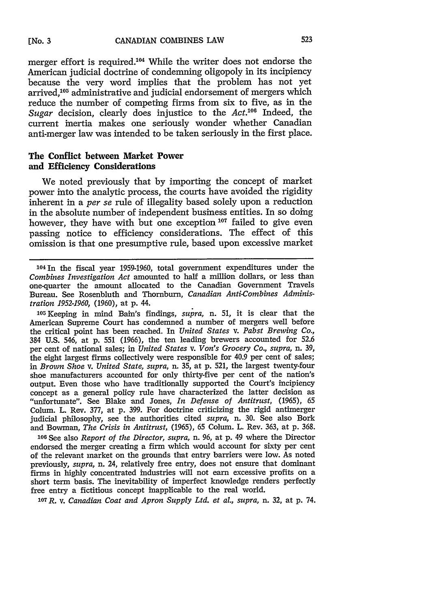merger effort is required.<sup>104</sup> While the writer does not endorse the American judicial doctrine of condemning oligopoly in its incipiency because the very word implies that the problem has not yet arrived,<sup>105</sup> administrative and judicial endorsement of mergers which reduce the number of competing firms from six to five, as in the Sugar decision, clearly does injustice to the *Act*.<sup>106</sup> Indeed, the current inertia makes one seriously wonder whether Canadian anti-merger law was intended to be taken seriously in the first place.

## **The Conflict between Market Power and Efficiency Considerations**

We noted previously that by importing the concept of market power into the analytic process, the courts have avoided the rigidity inherent in a *per se* rule of illegality based solely upon a reduction in the absolute number of independent business entities. In so doing however, they have with but one exception<sup>107</sup> failed to give even passing notice to efficiency considerations. The effect of this omission is that one presumptive rule, based upon excessive market

1041n the fiscal year 1959-1960, total government expenditures under the *Combines Investigation Act* amounted to half a million dollars, or less than one-quarter the amount allocated to the Canadian Government Travels Bureau. See Rosenbluth and Thornburn, *Canadian Anti-Combines Administration 1952-1960,* (1960), at p. 44.

105Keeping in mind Bain's findings, *supra,* n. 51, it is clear that the American Supreme Court has condemned a number of mergers well before the critical point has been reached. In *United States v. Pabst Brewing Co.,* 384 U.S. 546, at p. 551 (1966), the ten leading brewers accounted for 52.6 per cent of national sales; in *United States v. Von's Grocery Co., supra,* n. 39, the eight largest firms collectively were responsible for 40.9 per cent of sales; in *Brown Shoe v. United State, supra,* n. 35, at p. 521, the largest twenty-four shoe manufacturers accounted for only thirty-five per cent of the nation's output. Even those who have traditionally supported the Court's incipiency concept as a general policy rule have characterized the latter decision as "unfortunate". See Blake and Jones, *In Defense of Antitrust,* (1965), 65 Colum. L. Rev. 377, at p. 399. For doctrine criticizing the rigid antimerger judicial philosophy, see the authorities cited *supra,* n. 30. See also Bork and Bowman, *The Crisis in Antitrust,* (1965), 65 Colum. L. Rev. 363, at p. 368.

**<sup>106</sup>**See also *Report of the Director, supra,* n. 96, at p. 49 where the Director endorsed the merger creating a firm which would account for sixty per cent of the relevant market on the grounds that entry barriers were low. As noted previously, *supra,* n. 24, relatively free entry, does not ensure that dominant firms in highly concentrated industries will not earn excessive profits on a short term basis. The inevitability of imperfect knowledge renders perfectly free entry a fictitious concept inapplicable to the real world.

**<sup>107</sup>**R. *v. Canadian Coat and Apron Supply Ltd. et al., supra,* n. 32, at p. 74.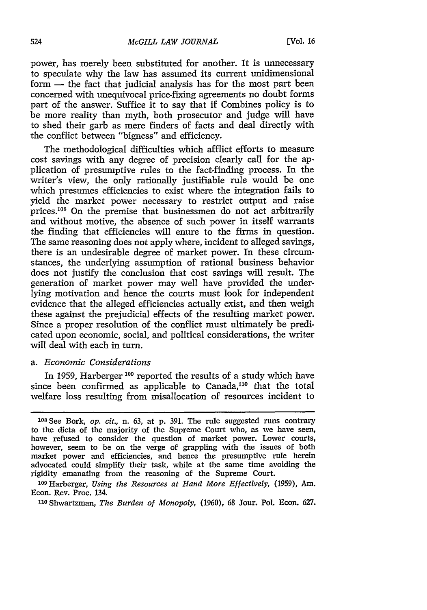power, has merely been substituted for another. It is unnecessary to speculate why the law has assumed its current unidimensional form - the fact that judicial analysis has for the most part been concerned with unequivocal price-fixing agreements no doubt forms part of the answer. Suffice it to say that if Combines policy is to be more reality than myth, both prosecutor and judge will have to shed their garb as mere finders of facts and deal directly with the conflict between "bigness" and efficiency.

The methodological difficulties which afflict efforts to measure cost savings with any degree of precision clearly call for the application of presumptive rules to the fact-finding process. In the writer's view, the only rationally justifiable rule would be one which presumes efficiencies to exist where the integration fails to yield the market power necessary to restrict output and raise prices.<sup>108</sup> On the premise that businessmen do not act arbitrarily and without motive, the absence of such power in itself warrants the finding that efficiencies will enure to the firms in question. The same reasoning does not apply where, incident to alleged savings, there is an undesirable degree of market power. In these circumstances, the underlying assumption of rational business behavior does not justify the conclusion that cost savings will result. The generation of market power may well have provided the underlying motivation and hence the courts must look for independent evidence that the alleged efficiencies actually exist, and then weigh these against the prejudicial effects of the resulting market power. Since a proper resolution of the conflict must ultimately be predicated upon economic, social, and political considerations, the writer will deal with each in turn.

# *a. Economic Considerations*

In 1959, Harberger **1 <sup>0</sup> 9** reported the results of a study which have since been confirmed as applicable to Canada,<sup>110</sup> that the total welfare loss resulting from misallocation of resources incident to

**<sup>108</sup>**See Bork, *op. cit.,* n. 63, at p. 391. The rule suggested runs contrary to the dicta of the majority of the Supreme Court who, as we have seen, have refused to consider the question of market power. Lower courts, however, seem to be on the verge of grappling with the issues of both market power and efficiencies, and hence the presumptive rule herein advocated could simplify their task, while at the same time avoiding the rigidity emanating from the reasoning of the Supreme Court.

<sup>10</sup>OHarberger, *Using the Resources at Hand More Effectively,* (1959), Am. Econ. Rev. Proc. 134.

<sup>&</sup>quot;0Shwartzman, *The Burden of Monopoly,* (1960), 68 Sour. Pol. Econ. 627.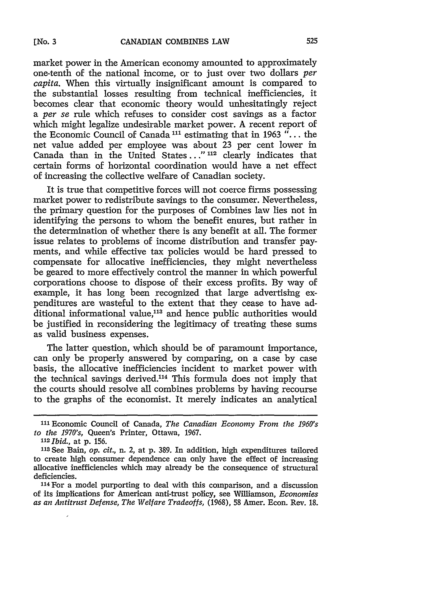market power in the American economy amounted to approximately one-tenth of the national income, or to just over two dollars *per capita.* When this virtually insignificant amount is compared to the substantial losses resulting from technical inefficiencies, it becomes clear that economic theory would unhesitatingly reject a *per se* rule which refuses to consider cost savings as a factor which might legalize undesirable market power. A recent report of the Economic Council of Canada 11 estimating that in **1963** "... the net value added per employee was about 23 per cent lower in Canada than in the United States **... " 112** clearly indicates that certain forms of horizontal coordination would have a net effect of increasing the collective welfare of Canadian society.

It is true that competitive forces will not coerce firms possessing market power to redistribute savings to the consumer. Nevertheless, the primary question for the purposes of Combines law lies not in identifying the persons to whom the benefit enures, but rather in the determination of whether there is any benefit at all. The former issue relates to problems of income distribution and transfer payments, and while effective tax policies would be hard pressed to compensate for allocative inefficiencies, they might nevertheless be geared to more effectively control the manner in which powerful corporations choose to dispose of their excess profits. By way of example, it has long been recognized that large advertising expenditures are wasteful to the extent that they cease to have additional informational value,<sup>113</sup> and hence public authorities would be justified in reconsidering the legitimacy of treating these sums as valid business expenses.

The latter question, which should be of paramount importance, can only be properly answered by comparing, on a case by case basis, the allocative inefficiencies incident to market power with the technical savings derived.<sup>114</sup> This formula does not imply that the courts should resolve all combines problems by having recourse to the graphs of the economist. It merely indicates an analytical

3 14 For a model purporting to deal with this comparison, and a discussion of its implications for American anti-trust policy, see Williamson, *Economies as an Antitrust Defense, The Welfare Tradeoffs,* (1968), 58 Amer. Econ. Rev. **18.**

<sup>&</sup>lt;sup>111</sup> Economic Council of Canada, *The Canadian Economy From the 1960's to the 1970's,* Queen's Printer, Ottawa, 1967.

*<sup>11</sup> Ibid.,* at **p.** 156.

**<sup>113</sup>**See Bain, *op. cit.,* n. 2, at p. 389. In addition, high expenditures tailored to create high consumer dependence can only have the effect of increasing allocative inefficiencies which may already be the consequence of structural deficiencies.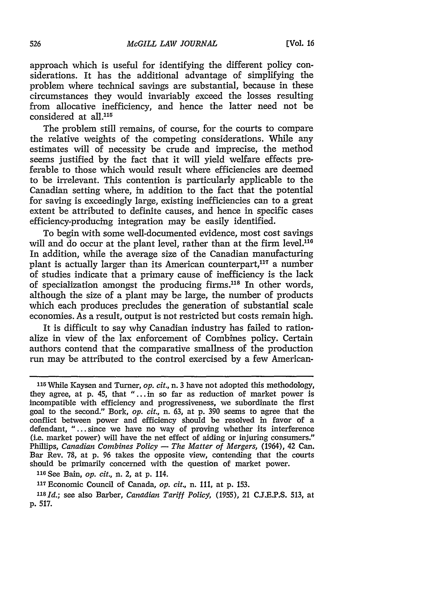approach which is useful for identifying the different policy considerations. It has the additional advantage of simplifying the problem where technical savings are substantial, because in these circumstances they would invariably exceed the losses resulting from allocative inefficiency, and hence the latter need not be considered at **all.115**

The problem still remains, of course, for the courts to compare the relative weights of the competing considerations. While any estimates will of necessity be crude and imprecise, the method seems justified **by** the fact that it will yield welfare effects preferable to those which would result where efficiencies are deemed to be irrelevant. This contention is particularly applicable to the Canadian setting where, in addition to the fact that the potential for saving is exceedingly large, existing inefficiencies can to a great extent be attributed to definite causes, and hence in specific cases efficiency-producing integration may be easily identified.

To begin with some well-documented evidence, most cost savings will and do occur at the plant level, rather than at the firm level.<sup>116</sup> In addition, while the average size of the Canadian manufacturing plant is actually larger than its American counterpart, $117$  a number of studies indicate that a primary cause of inefficiency is the lack of specialization amongst the producing firms.<sup>118</sup> In other words, although the size of a plant may be large, the number of products which each produces precludes the generation of substantial scale economies. As a result, output is not restricted but costs remain high.

It is difficult to say why Canadian industry has failed to rationalize in view of the lax enforcement of Combines policy. Certain authors contend that the comparative smallness of the production run may be attributed to the control exercised **by** a few American-

**<sup>110</sup>**See Bain, *op. cit.,* n. 2, at **p.** 114.

**<sup>117</sup>**Economic Council of Canada, *op. cit.,* n. **111,** at **p. 153.**

*1181d.;* see also Barber, *Canadian Tariff Policy,* **(1955),** 21 **C.J.E.P.S. 513,** at **p. 517.**

**<sup>115</sup>**While Kaysen and Turner, *op. cit.,* n. **3** have not adopted this methodology, they agree, at **p.** 45, that "...in so far as reduction of market power is incompatible with efficiency and progressiveness, we subordinate the first goal to the second." Bork, *op. cit.,* n. **63,** at **p. 390** seems to agree that the conflict between power and efficiency should be resolved in favor of a defendant, "...since we have no way of proving whether its interference (i.e. market power) will have the net effect of aiding or injuring consumers." Phillips, *Canadian Combines Policy* **-** *The Matter of Mergers,* (1964), 42 Can. Bar Rev. **78,** at **p. 96** takes the opposite view, contending that the courts should be primarily concerned with the question of market power.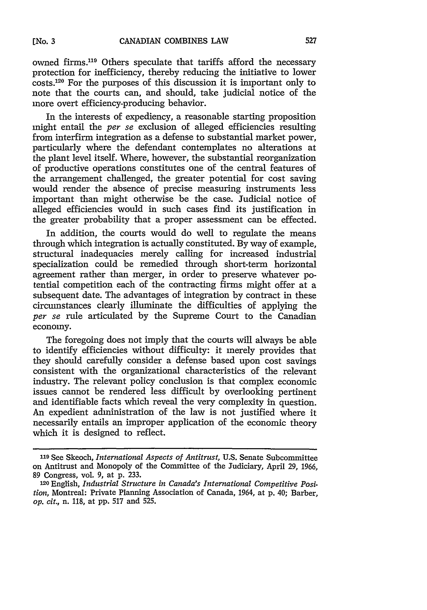owned firms.<sup>119</sup> Others speculate that tariffs afford the necessary protection for inefficiency, thereby reducing the initiative to lower costs. 120 For the purposes of this discussion it is important only to note that the courts can, and should, take judicial notice of the more overt efficiency-producing behavior.

In the interests of expediency, a reasonable starting proposition might entail the *per se* exclusion of alleged efficiencies resulting from interfirm integration as a defense to substantial market power, particularly where the defendant contemplates no alterations at the plant level itself. Where, however, the substantial reorganization of productive operations constitutes one of the central features of the arrangement challenged, the greater potential for cost saving would render the absence of precise measuring instruments less important than might otherwise be the case. Judicial notice of alleged efficiencies would in such cases find its justification in the greater probability that a proper assessment can be effected.

In addition, the courts would do well to regulate the means through which integration is actually constituted. By way of example, structural inadequacies merely calling for increased industrial specialization could be remedied through short-term horizontal agreement rather than merger, in order to preserve whatever potential competition each of the contracting firms might offer at a subsequent date. The advantages of integration by contract in these circumstances clearly illuminate the difficulties of applying the *per se* rule articulated by the Supreme Court to the Canadian economy.

The foregoing does not imply that the courts will always be able to identify efficiencies without difficulty: it merely provides that they should carefully consider a defense based upon cost savings consistent with the organizational characteristics of the relevant industry. The relevant policy conclusion is that complex economic issues cannot be rendered less difficult by overlooking pertinent and identifiable facts which reveal the very complexity in question. An expedient administration of the law is not justified where it necessarily entails an improper application of the economic theory which it is designed to reflect.

**no** See Skeoch, *International Aspects of Antitrust,* U.S. Senate Subcommittee on Antitrust and Monopoly of the Committee of the Judiciary, April 29, 1966, 89 Congress, vol. 9, at p. 233.

**<sup>120</sup>** English, *Industrial Structure in Canada's International Competitive Position,* Montreal: Private Planning Association of Canada, 1964, at p. 40; Barber, *op. cit.,* n. 118, at pp. 517 and 525.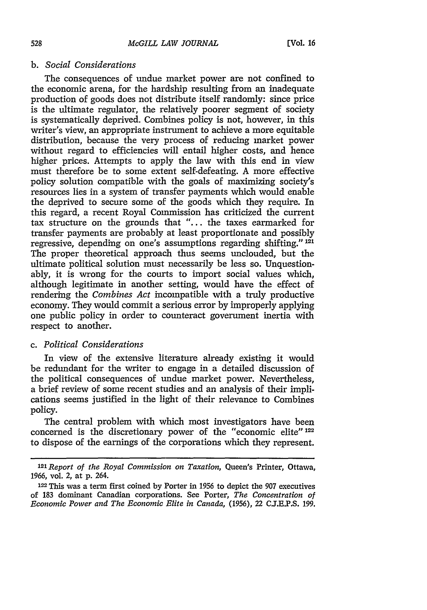### *b. Social Considerations*

The consequences of undue market power are not confined to the economic arena, for the hardship resulting from an inadequate production of goods does not distribute itself randomly: since price is the ultimate regulator, the relatively poorer segment of society is systematically deprived. Combines policy is not, however, in this writer's view, an appropriate instrument to achieve a more equitable distribution, because the very process of reducing market power without regard to efficiencies will entail higher costs, and hence higher prices. Attempts to apply the law with this end in view must therefore be to some extent self-defeating. A more effective policy solution compatible with the goals of maximizing society's resources lies in a system of transfer payments which would enable the deprived to secure some of the goods which they require. In this regard, a recent Royal Commission has criticized the current tax structure on the grounds that **"....** the taxes earmarked for transfer payments are probably at least proportionate and possibly regressive, depending on one's assumptions regarding shifting." **<sup>121</sup>** The proper theoretical approach thus seems unclouded, but the ultimate political solution must necessarily be less so. Unquestionably, it is wrong for the courts to import social values which, although legitimate in another setting, would have the effect of rendering the *Combines Act* incompatible with a truly productive economy. They would commit a serious error by improperly applying one public policy in order to counteract government inertia with respect to another.

### *c. Political Considerations*

In view of the extensive literature already existing it would be redundant for the writer to engage in a detailed discussion of the political consequences of undue market power. Nevertheless, a brief review of some recent studies and an analysis of their implications seems justified in the light of their relevance to Combines policy.

The central problem with which most investigators have been concerned is the discretionary power of the "economic elite" <sup>122</sup> to dispose of the earnings of the corporations which they represent.

<sup>121</sup>*Report of the Royal Commission on Taxation,* Queen's Printer, Ottawa, **1966,** vol. 2, at p. 264.

**<sup>122</sup>**This was a term first coined by Porter in 1956 to depict the 907 executives of **183** dominant Canadian corporations. See Porter, *The Concentration of Economic Power and The Economic Elite in Canada,* (1956), 22 CJ.E.P.S. 199.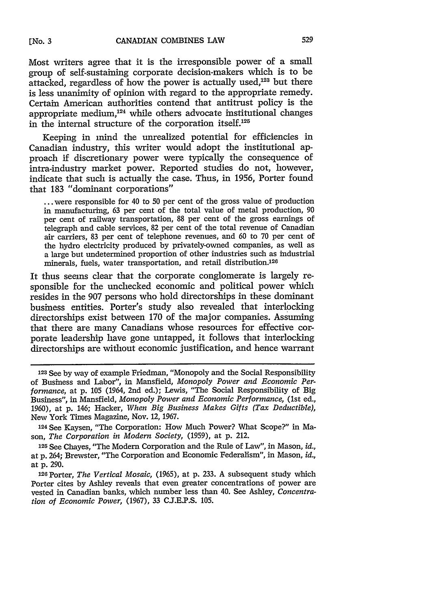Most writers agree that it is the irresponsible power of a small group of self-sustaining corporate decision-makers which is to be attacked, regardless of how the power is actually used, $123$  but there is less unanimity of opinion with regard to the appropriate remedy. Certain American authorities contend that antitrust policy is the appropriate medium, $124$  while others advocate institutional changes in the internal structure of the corporation itself.<sup>125</sup>

Keeping in mind the unrealized potential for efficiencies in Canadian industry, this writer would adopt the institutional approach if discretionary power were typically the consequence of intra-industry market power. Reported studies do not, however, indicate that such is actually the case. Thus, in 1956, Porter found that 183 "dominant corporations"

... were responsible for 40 to 50 per cent of the gross value of production in manufacturing, 63 per cent of the total value of metal production, 90 per cent of railway transportation, 88 per cent of the gross earnings of telegraph and cable services, 82 per cent of the total revenue of Canadian air carriers, 83 per cent of telephone revenues, and 60 to 70 per cent of the hydro electricity produced by privately-owned companies, as well as a large but undetermined proportion of other industries such as industrial minerals, fuels, water transportation, and retail distribution.<sup>126</sup>

It thus seems clear that the corporate conglomerate is largely responsible for the unchecked economic and political power which resides in the 907 persons who hold directorships in these dominant business entities. Porter's study also revealed that interlocking directorships exist between 170 of the major companies. Assuming that there are many Canadians whose resources for effective corporate leadership have gone untapped, it follows that interlocking directorships are without economic justification, and hence warrant

<sup>1</sup> 23 See by way of example Friedman, "Monopoly and the Social Responsibility of Business and Labor", in Mansfield, *Monopoly Power and Economic Performance,* at p. 105 (1964, 2nd ed.); Lewis, "The Social Responsibility of Big Business", in Mansfield, *Monopoly Power and Economic Performance,* (1st ed., 1960), at p. 146; Hacker, *When Big Business Makes Gifts (Tax Deductible),* New York Times Magazine, Nov. 12, 1967.

<sup>124</sup>See Kaysen, "The Corporation: How Much Power? What Scope?" in Mason, *The Corporation in Modern Society,* (1959), at p. 212.

<sup>125</sup>See Chayes, "The Modern Corporation and the Rule of Law", in Mason, *id.,* at p. 264; Brewster, "The Corporation and Economic Federalism", in Mason, *id.,* at p. 290.

**<sup>126</sup>**Porter, *The Vertical Mosaic,* (1965), at p. 233. A subsequent study which Porter cites by Ashley reveals that even greater concentrations of power are vested in Canadian banks, which number less than 40. See Ashley, *Concentration of Economic Power,* (1967), 33 CJ.E.P.S. 105.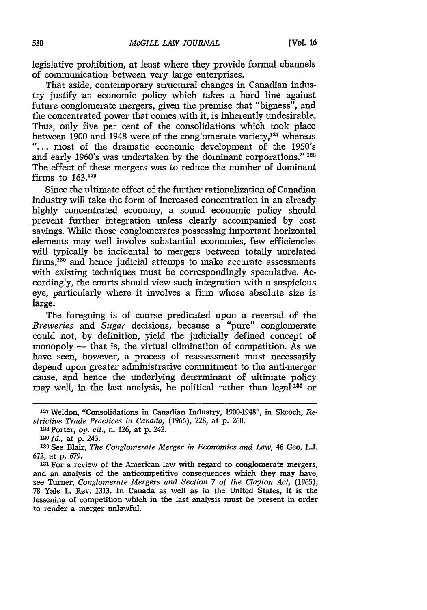legislative prohibition, at least where they provide formal channels of communication between very large enterprises.

That aside, contemporary structural changes in Canadian industry justify an economic policy which takes a hard line against future conglomerate mergers, given the premise that "bigness", and the concentrated power that comes with it, is inherently undesirable. Thus, only five per cent of the consolidations which took place between 1900 and 1948 were of the conglomerate variety,<sup>127</sup> whereas "... most of the dramatic economic development of the 1950's and early 1960's was undertaken by the dominant corporations." **<sup>128</sup>** The effect of these mergers was to reduce the number of dominant firms to **163.129**

Since the ultimate effect of the further rationalization of Canadian industry will take the form of increased concentration in an already highly concentrated economy, a sound economic policy should prevent further integration unless clearly accompanied by cost savings. While those conglomerates possessing important horizontal elements may well involve substantial economies, few efficiencies will typically be incidental to mergers between totally unrelated firms, 130 and hence judicial attemps to make accurate assessments with existing techniques must be correspondingly speculative. Accordingly, the courts should view such integration with a suspicious eye, particularly where it involves a firm whose absolute size is large.

The foregoing is of course predicated upon a reversal of the *Breweries and Sugar* decisions, because a "pure" conglomerate could not, by definition, yield the judicially defined concept of monopoly  $-$  that is, the virtual elimination of competition. As we have seen, however, a process of reassessment must necessarily depend upon greater administrative commitment to the anti-merger cause, and hence the underlying determinant of ultimate policy may well, in the last analysis, be political rather than legal **131** or

**<sup>128</sup>**Porter, *op. cit.,* n. 126, at p. 242.

<sup>1</sup> <sup>27</sup> Weldon, "Consolidations in Canadian Industry, 1900-1948", in Skeoch, *Restrictive Trade Practices in Canada,* (1966), 228, at p. 260.

**<sup>129</sup>***Id.,* at p. 243.

**<sup>13</sup>0** See Blair, *The Conglomerate Merger in Economics and Law,* 46 Geo. **L.** 672, at p. 679.

*<sup>131</sup>*For a review of the American law with regard to conglomerate mergers, and an analysis of the anticompetitive consequences which they may have, see Turner, *Conglomerate Mergers and Section 7 of the Clayton Act,* (1965), 78 Yale L. Rev. 1313. In Canada as well as in the United States, it is the lessening of competition which in the last analysis must be present in order to render a merger unlawful.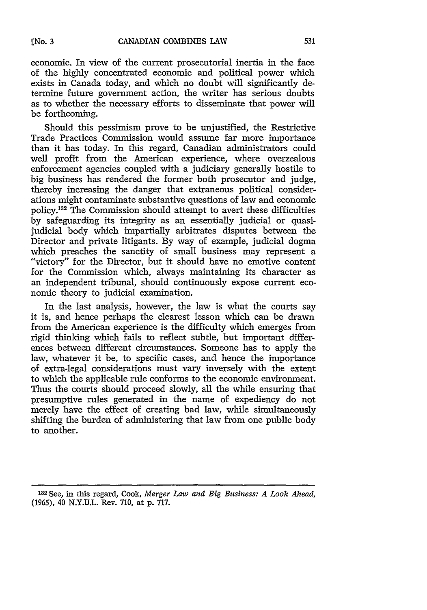economic. In view of the current prosecutorial inertia in the face of the highly concentrated economic and political power which exists in Canada today, and which no doubt will significantly determine future government action, the writer has serious doubts as to whether the necessary efforts to disseminate that power will be forthcoming.

Should this pessimism prove to be unjustified, the Restrictive Trade Practices Commission would assume far more importance than it has today. In this regard, Canadian administrators could well profit from the American experience, where overzealous enforcement agencies coupled with a judiciary generally hostile to big business has rendered the former both prosecutor and judge, thereby increasing the danger that extraneous political considerations might contaminate substantive questions of law and economic policy.132 The Commission should attempt to avert these difficulties by safeguarding its integrity as an essentially judicial or quasijudicial body which impartially arbitrates disputes between the Director and private litigants. By way of example, judicial dogma which preaches the sanctity of small business may represent a "victory" for the Director, but it should have no emotive content for the Commission which, always maintaining its character as an independent tribunal, should continuously expose current economic theory to judicial examination.

In the last analysis, however, the law is what the courts say it is, and hence perhaps the clearest lesson which can be drawn from the American experience is the difficulty which emerges from rigid thinking which fails to reflect subtle, but important differences between different circumstances. Someone has to apply the law, whatever it be, to specific cases, and hence the importance of extra-legal considerations must vary inversely with the extent to which the applicable rule conforms to the economic environment. Thus the courts should proceed slowly, all the while ensuring that presumptive rules generated in the name of expediency do not merely have the effect of creating bad law, while simultaneously shifting the burden of administering that law from one public body to another.

**<sup>132</sup>**See, in this regard, Cook, *Merger Law and Big Business: A Look Ahead,* (1965), 40 N.Y.U.L. Rev. 710, at p. 717.